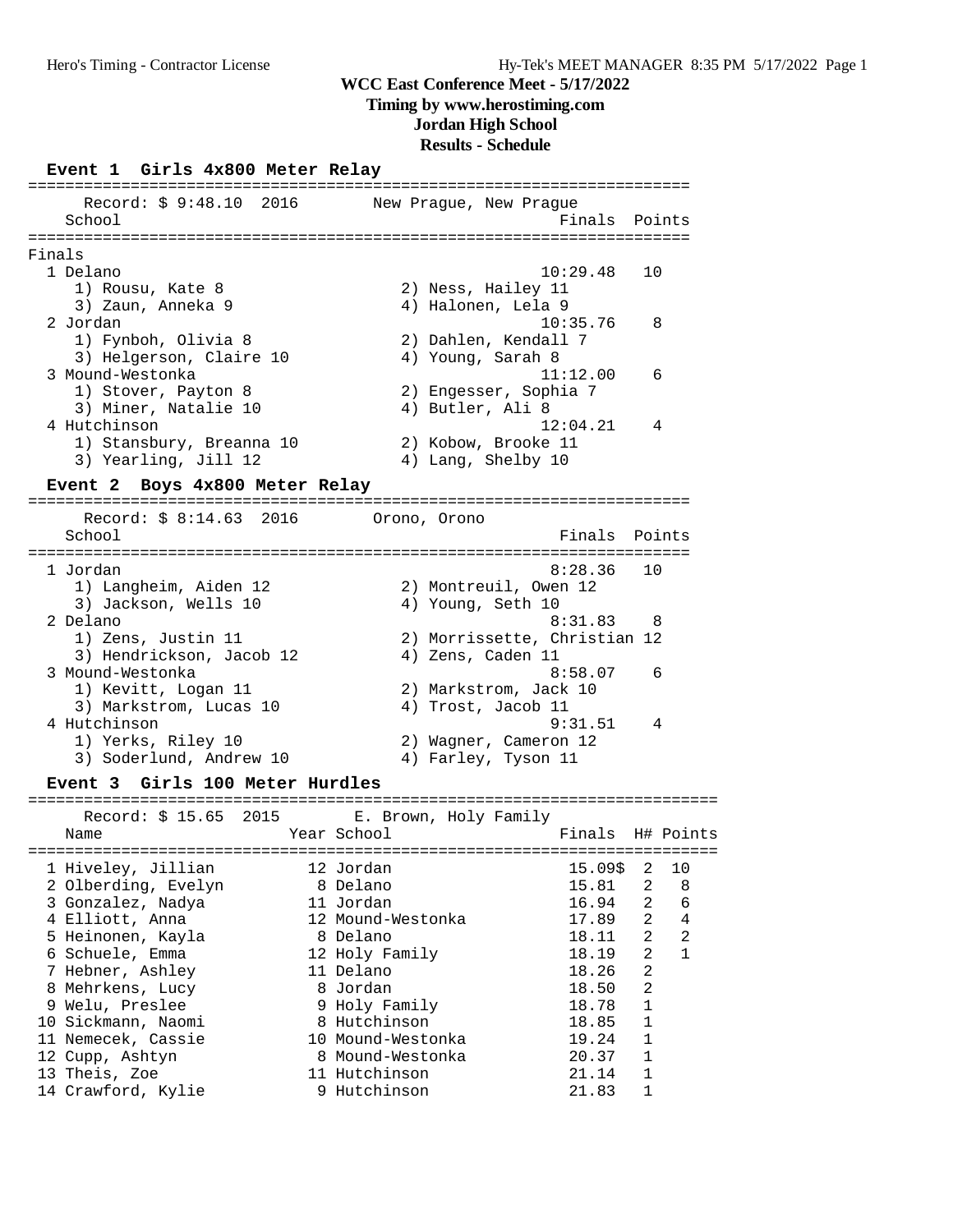#### **Timing by www.herostiming.com**

**Jordan High School**

#### **Results - Schedule**

#### **Event 1 Girls 4x800 Meter Relay**

======================================================================= Record: \$ 9:48.10 2016 New Prague, New Prague School **Finals Points** ======================================================================= Finals 1 Delano 10:29.48 10 1) Rousu, Kate 8 2) Ness, Hailey 11 3) Zaun, Anneka 9 (4) Halonen, Lela 9 2 Jordan 10:35.76 8 1) Fynboh, Olivia 8 2) Dahlen, Kendall 7 3) Helgerson, Claire 10  $\hspace{1cm}$  4) Young, Sarah 8 3 Mound-Westonka 11:12.00 6 1) Stover, Payton 8 2) Engesser, Sophia 7 3) Miner, Natalie 10 (4) Butler, Ali 8 4 Hutchinson 12:04.21 4 1) Stansbury, Breanna 10 2) Kobow, Brooke 11 3) Yearling, Jill 12 4) Lang, Shelby 10 **Event 2 Boys 4x800 Meter Relay** ======================================================================= Record: \$ 8:14.63 2016 Orono, Orono School **Finals** Points ======================================================================= 1 Jordan 8:28.36 10 1) Langheim, Aiden 12 2) Montreuil, Owen 12 3) Jackson, Wells 10 4) Young, Seth 10 2 Delano 8:31.83 8 1) Zens, Justin 11 2) Morrissette, Christian 12 3) Hendrickson, Jacob 12 (4) Zens, Caden 11 3 Mound-Westonka 8:58.07 6 1) Kevitt, Logan 11 2) Markstrom, Jack 10 3) Markstrom, Lucas 10 (4) Trost, Jacob 11 4 Hutchinson 9:31.51 4 1) Yerks, Riley 10 2) Wagner, Cameron 12 3) Soderlund, Andrew 10 (4) Farley, Tyson 11 **Event 3 Girls 100 Meter Hurdles** ========================================================================== Record: \$ 15.65 2015 E. Brown, Holy Family Name Year School Finals H# Points ========================================================================== 1 Hiveley, Jillian 12 Jordan 15.09\$ 2 10 2 Olberding, Evelyn 8 Delano 15.81 2 8 3 Gonzalez, Nadya 11 Jordan 16.94 2 6 4 Elliott, Anna 12 Mound-Westonka 17.89 2 4 5 Heinonen, Kayla 8 Delano 18.11 2 2 6 Schuele, Emma 12 Holy Family 18.19 2 1 7 Hebner, Ashley 11 Delano 18.26 2 8 Mehrkens, Lucy 8 Jordan 18.50 2 9 Welu, Preslee 9 Holy Family 18.78 1 10 Sickmann, Naomi 8 Hutchinson 18.85 1 11 Nemecek, Cassie 10 Mound-Westonka 19.24 1 12 Cupp, Ashtyn 8 Mound-Westonka 20.37 1 13 Theis, Zoe 11 Hutchinson 21.14 1 14 Crawford, Kylie 9 Hutchinson 21.83 1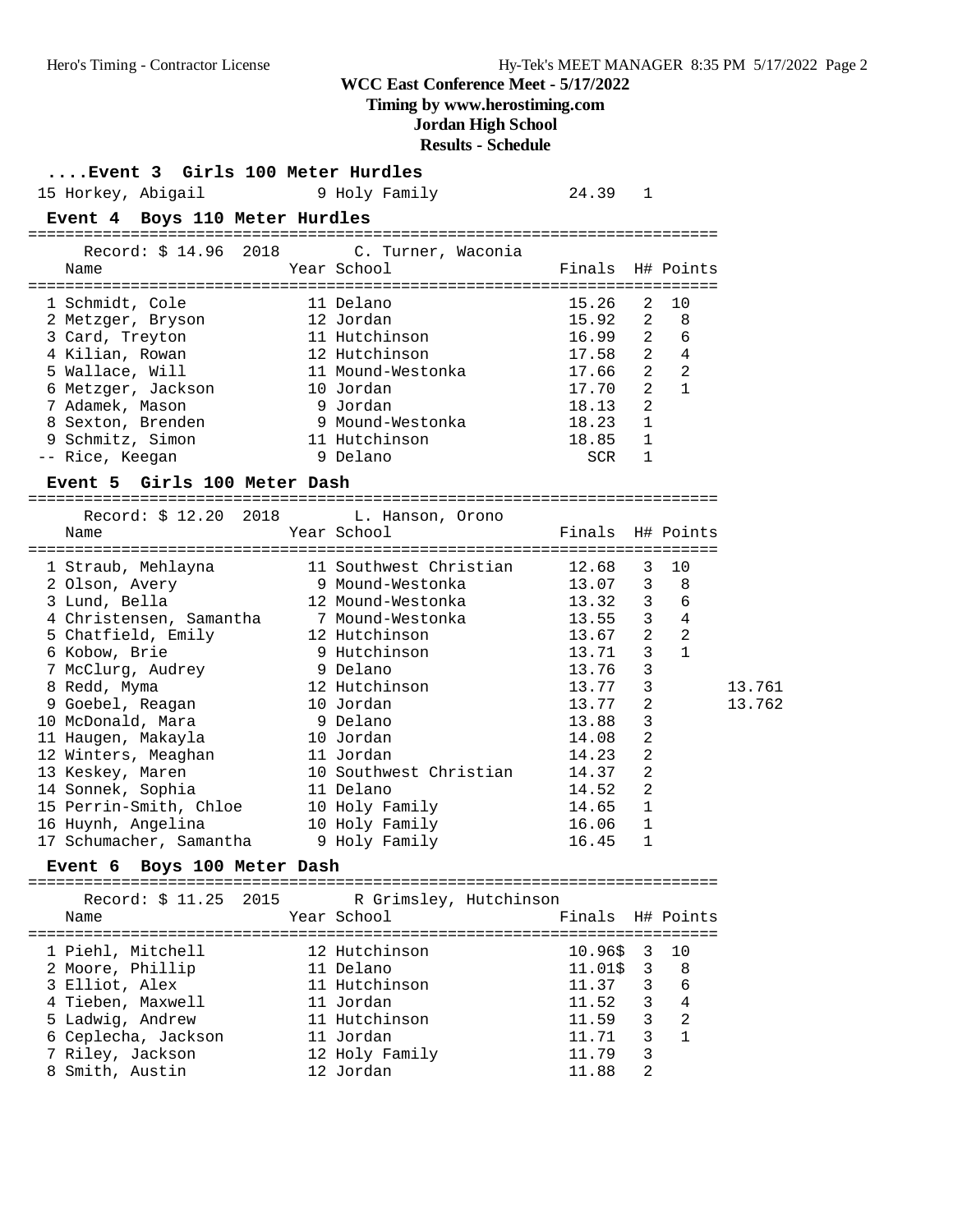**Timing by www.herostiming.com**

# **Jordan High School**

**Results - Schedule**

| Event 3 Girls 100 Meter Hurdles<br>15 Horkey, Abigail<br>Event 4 Boys 110 Meter Hurdles                                                                                                                                                                                                                                                                                | 9 Holy Family                                                                                                                                                                                                                                                                                    | 24.39                                                                                                                                                 | 1                                                                                                                                |                                                                  |                  |
|------------------------------------------------------------------------------------------------------------------------------------------------------------------------------------------------------------------------------------------------------------------------------------------------------------------------------------------------------------------------|--------------------------------------------------------------------------------------------------------------------------------------------------------------------------------------------------------------------------------------------------------------------------------------------------|-------------------------------------------------------------------------------------------------------------------------------------------------------|----------------------------------------------------------------------------------------------------------------------------------|------------------------------------------------------------------|------------------|
| Record: \$ 14.96 2018<br>Name                                                                                                                                                                                                                                                                                                                                          | C. Turner, Waconia<br>Year School                                                                                                                                                                                                                                                                | Finals                                                                                                                                                |                                                                                                                                  | H# Points                                                        |                  |
| 1 Schmidt, Cole<br>2 Metzger, Bryson<br>3 Card, Treyton<br>4 Kilian, Rowan<br>5 Wallace, Will<br>6 Metzger, Jackson<br>7 Adamek, Mason<br>8 Sexton, Brenden<br>9 Schmitz, Simon<br>-- Rice, Keegan                                                                                                                                                                     | 11 Delano<br>12 Jordan<br>11 Hutchinson<br>12 Hutchinson<br>11 Mound-Westonka<br>10 Jordan<br>9 Jordan<br>9 Mound-Westonka<br>11 Hutchinson<br>9 Delano                                                                                                                                          | 15.26<br>15.92<br>16.99<br>17.58<br>17.66<br>17.70<br>18.13<br>18.23<br>18.85<br>SCR                                                                  | 2<br>2<br>$\overline{2}$<br>2<br>$\overline{a}$<br>$\overline{a}$<br>2<br>1<br>$\mathbf{1}$<br>$\mathbf{1}$                      | 10<br>8<br>6<br>4<br>$\overline{2}$<br>$\mathbf{1}$              |                  |
| Event 5 Girls 100 Meter Dash                                                                                                                                                                                                                                                                                                                                           |                                                                                                                                                                                                                                                                                                  |                                                                                                                                                       |                                                                                                                                  |                                                                  |                  |
| 2018<br>Record: \$ 12.20<br>Name                                                                                                                                                                                                                                                                                                                                       | L. Hanson, Orono<br>Year School                                                                                                                                                                                                                                                                  | Finals H# Points                                                                                                                                      |                                                                                                                                  |                                                                  |                  |
| 1 Straub, Mehlayna<br>2 Olson, Avery<br>3 Lund, Bella<br>4 Christensen, Samantha<br>5 Chatfield, Emily<br>6 Kobow, Brie<br>7 McClurg, Audrey<br>8 Redd, Myma<br>9 Goebel, Reagan<br>10 McDonald, Mara<br>11 Haugen, Makayla<br>12 Winters, Meaghan<br>13 Keskey, Maren<br>14 Sonnek, Sophia<br>15 Perrin-Smith, Chloe<br>16 Huynh, Angelina<br>17 Schumacher, Samantha | 11 Southwest Christian<br>9 Mound-Westonka<br>12 Mound-Westonka<br>7 Mound-Westonka<br>12 Hutchinson<br>9 Hutchinson<br>9 Delano<br>12 Hutchinson<br>10 Jordan<br>9 Delano<br>10 Jordan<br>11 Jordan<br>10 Southwest Christian<br>11 Delano<br>10 Holy Family<br>10 Holy Family<br>9 Holy Family | 12.68<br>13.07<br>13.32<br>13.55<br>13.67<br>13.71<br>13.76<br>13.77<br>13.77<br>13.88<br>14.08<br>14.23<br>14.37<br>14.52<br>14.65<br>16.06<br>16.45 | 3<br>3<br>3<br>$\mathbf{3}$<br>$\overline{a}$<br>3<br>3<br>3<br>2<br>3<br>$\overline{2}$<br>2<br>2<br>2<br>1<br>$\mathbf 1$<br>1 | 10<br>8<br>6<br>$\overline{4}$<br>2<br>$\mathbf{1}$              | 13.761<br>13.762 |
| Boys 100 Meter Dash<br><b>Event 6</b><br>Record: \$ 11.25<br>2015<br>Name                                                                                                                                                                                                                                                                                              | R Grimsley, Hutchinson<br>Year School                                                                                                                                                                                                                                                            | Finals H# Points                                                                                                                                      |                                                                                                                                  |                                                                  |                  |
| 1 Piehl, Mitchell<br>2 Moore, Phillip<br>3 Elliot, Alex<br>4 Tieben, Maxwell<br>5 Ladwig, Andrew<br>6 Ceplecha, Jackson<br>7 Riley, Jackson<br>8 Smith, Austin                                                                                                                                                                                                         | 12 Hutchinson<br>11 Delano<br>11 Hutchinson<br>11 Jordan<br>11 Hutchinson<br>11 Jordan<br>12 Holy Family<br>12 Jordan                                                                                                                                                                            | 10.96\$<br>$11.01\$<br>11.37<br>11.52<br>11.59<br>11.71<br>11.79<br>11.88                                                                             | 3<br>3<br>3<br>3<br>3<br>3<br>3<br>2                                                                                             | 10<br>8<br>6<br>$\overline{4}$<br>$\overline{2}$<br>$\mathbf{1}$ |                  |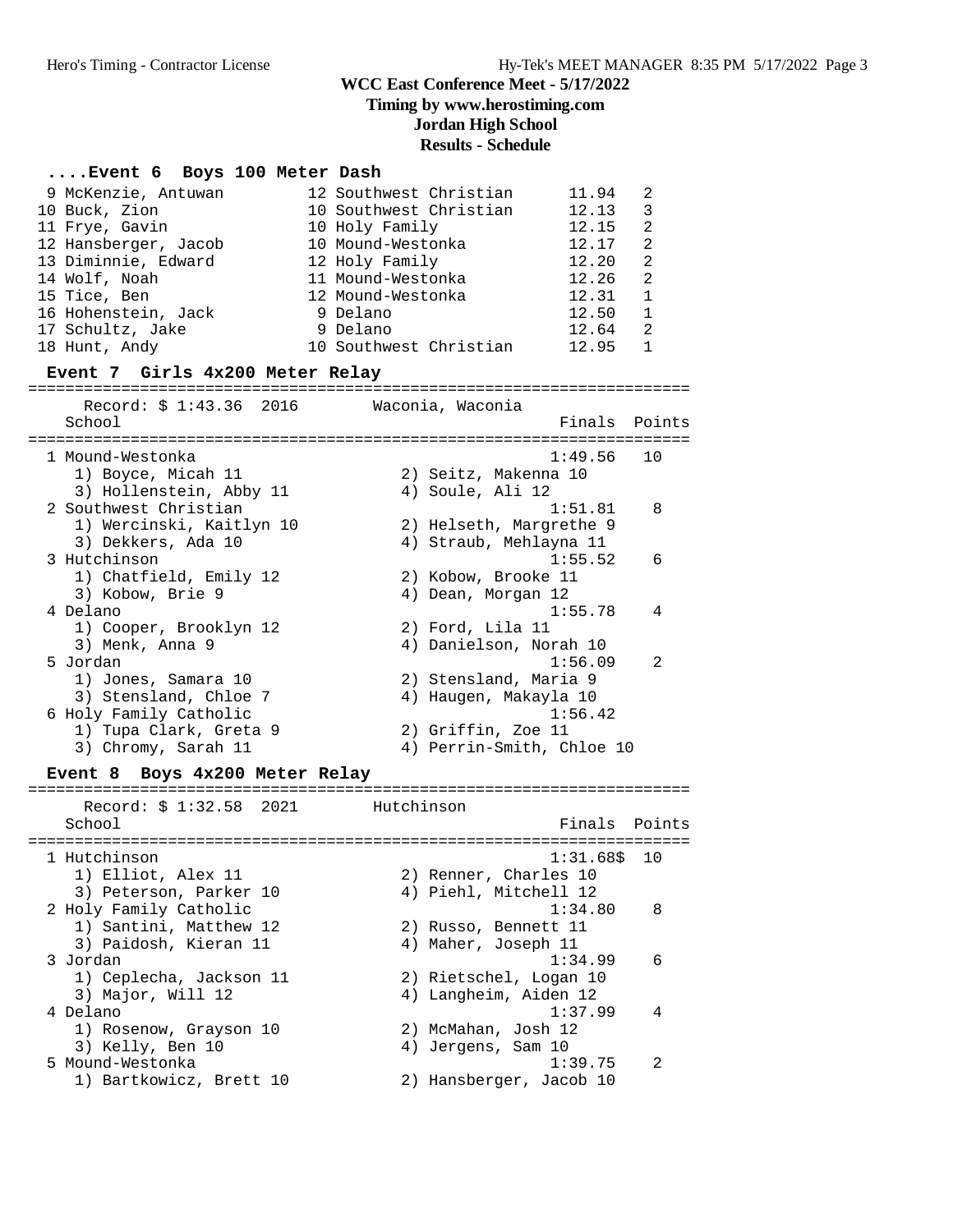## **Timing by www.herostiming.com**

**Jordan High School**

# **Results - Schedule**

#### **....Event 6 Boys 100 Meter Dash**

| 9 McKenzie, Antuwan<br>10 Buck, Zion<br>11 Frye, Gavin<br>12 Hansberger, Jacob<br>13 Diminnie, Edward<br>14 Wolf, Noah<br>15 Tice, Ben<br>16 Hohenstein, Jack<br>17 Schultz, Jake | 12 Southwest Christian<br>10 Southwest Christian<br>10 Holy Family<br>10 Mound-Westonka<br>12 Holy Family<br>11 Mound-Westonka<br>12 Mound-Westonka<br>9 Delano<br>9 Delano |                  |                                                   | 11.94<br>12.13<br>12.15<br>12.17<br>12.20<br>12.26<br>12.31<br>12.50<br>12.64 | 2<br>3<br>2<br>2<br>$\overline{2}$<br>$\overline{2}$<br>$\mathbf{1}$<br>1<br>2 |
|-----------------------------------------------------------------------------------------------------------------------------------------------------------------------------------|-----------------------------------------------------------------------------------------------------------------------------------------------------------------------------|------------------|---------------------------------------------------|-------------------------------------------------------------------------------|--------------------------------------------------------------------------------|
| 18 Hunt, Andy<br>Event 7 Girls 4x200 Meter Relay                                                                                                                                  | 10 Southwest Christian                                                                                                                                                      |                  |                                                   | 12.95                                                                         | $\mathbf{1}$                                                                   |
| Record: \$ 1:43.36 2016                                                                                                                                                           |                                                                                                                                                                             | Waconia, Waconia |                                                   |                                                                               |                                                                                |
| School                                                                                                                                                                            |                                                                                                                                                                             |                  |                                                   | Finals                                                                        | Points                                                                         |
| 1 Mound-Westonka<br>1) Boyce, Micah 11<br>3) Hollenstein, Abby 11                                                                                                                 |                                                                                                                                                                             |                  | 2) Seitz, Makenna 10<br>4) Soule, Ali 12          | 1:49.56                                                                       | 10                                                                             |
| 2 Southwest Christian<br>1) Wercinski, Kaitlyn 10<br>3) Dekkers, Ada 10                                                                                                           |                                                                                                                                                                             |                  | 2) Helseth, Margrethe 9<br>4) Straub, Mehlayna 11 | 1:51.81                                                                       | 8                                                                              |
| 3 Hutchinson<br>1) Chatfield, Emily 12<br>3) Kobow, Brie 9                                                                                                                        |                                                                                                                                                                             |                  | 2) Kobow, Brooke 11<br>4) Dean, Morgan 12         | 1:55.52                                                                       | 6                                                                              |
| 4 Delano<br>1) Cooper, Brooklyn 12<br>3) Menk, Anna 9                                                                                                                             |                                                                                                                                                                             |                  | 2) Ford, Lila 11<br>4) Danielson, Norah 10        | 1:55.78                                                                       | 4                                                                              |
| 5 Jordan<br>1) Jones, Samara 10<br>3) Stensland, Chloe 7<br>6 Holy Family Catholic                                                                                                |                                                                                                                                                                             |                  | 2) Stensland, Maria 9<br>4) Haugen, Makayla 10    | 1:56.09<br>1:56.42                                                            | 2                                                                              |
| 1) Tupa Clark, Greta 9<br>3) Chromy, Sarah 11                                                                                                                                     |                                                                                                                                                                             |                  | 2) Griffin, Zoe 11                                | 4) Perrin-Smith, Chloe 10                                                     |                                                                                |
| Event 8 Boys 4x200 Meter Relay                                                                                                                                                    |                                                                                                                                                                             |                  |                                                   |                                                                               |                                                                                |
| Record: \$ 1:32.58 2021<br>School                                                                                                                                                 | Hutchinson<br>==========================                                                                                                                                    |                  |                                                   | Finals<br>====================                                                | Points                                                                         |
| 1 Hutchinson<br>1) Elliot, Alex 11<br>3) Peterson, Parker 10                                                                                                                      |                                                                                                                                                                             |                  | 2) Renner, Charles 10<br>4) Piehl, Mitchell 12    | $1:31.68$ \$                                                                  | 10                                                                             |
| 2 Holy Family Catholic<br>1) Santini, Matthew 12<br>3) Paidosh, Kieran 11                                                                                                         |                                                                                                                                                                             |                  | 2) Russo, Bennett 11<br>4) Maher, Joseph 11       | 1:34.80                                                                       | 8                                                                              |
| 3 Jordan<br>1) Ceplecha, Jackson 11<br>3) Major, Will 12                                                                                                                          |                                                                                                                                                                             |                  | 2) Rietschel, Logan 10<br>4) Langheim, Aiden 12   | 1:34.99                                                                       | 6                                                                              |
| 4 Delano<br>1) Rosenow, Grayson 10<br>3) Kelly, Ben 10                                                                                                                            |                                                                                                                                                                             |                  | 2) McMahan, Josh 12<br>4) Jergens, Sam 10         | 1:37.99                                                                       | 4                                                                              |
| 5 Mound-Westonka<br>1) Bartkowicz, Brett 10                                                                                                                                       |                                                                                                                                                                             |                  | 2) Hansberger, Jacob 10                           | 1:39.75                                                                       | 2                                                                              |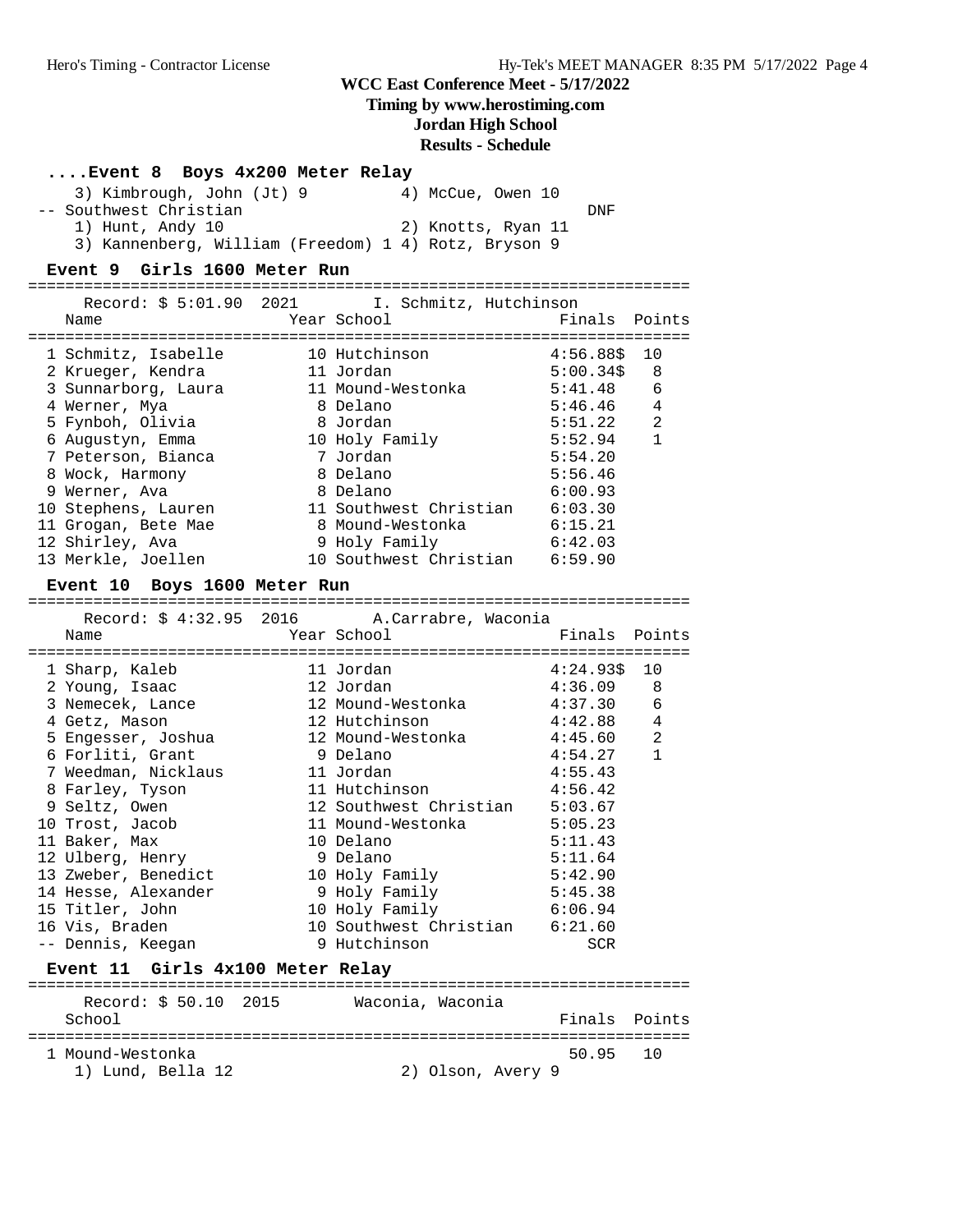#### **Timing by www.herostiming.com**

**Jordan High School**

**Results - Schedule**

# **....Event 8 Boys 4x200 Meter Relay**

| 3) Kimbrough, John (Jt) 9                            | 4) McCue, Owen 10  |
|------------------------------------------------------|--------------------|
| -- Southwest Christian                               | DNF                |
| 1) Hunt, Andy 10                                     | 2) Knotts, Ryan 11 |
| 3) Kannenberg, William (Freedom) 1 4) Rotz, Bryson 9 |                    |

#### **Event 9 Girls 1600 Meter Run**

| Record: \$ 5:01.90 2021<br>Name       |             | I. Schmitz, Hutchinson<br>Year School       | Finals       | Points         |
|---------------------------------------|-------------|---------------------------------------------|--------------|----------------|
|                                       |             |                                             |              |                |
| 1 Schmitz, Isabelle                   |             | 10 Hutchinson                               | $4:56.88$ \$ | 10             |
| 2 Krueger, Kendra                     | 11 Jordan   |                                             | $5:00.34$ \$ | 8              |
| 3 Sunnarborg, Laura 11 Mound-Westonka |             |                                             | 5:41.48      | 6              |
| 4 Werner, Mya                         |             | 8 Delano                                    | 5:46.46      | $\overline{4}$ |
| 5 Fynboh, Olivia                      |             | 8 Jordan                                    | 5:51.22      | 2              |
| 6 Augustyn, Emma                      |             | 10 Holy Family                              | 5:52.94      | $\mathbf{1}$   |
| 7 Peterson, Bianca                    |             | 7 Jordan                                    | 5:54.20      |                |
| 8 Wock, Harmony                       |             | 8 Delano                                    | 5:56.46      |                |
| 9 Werner, Ava                         |             | 8 Delano                                    | 6:00.93      |                |
| 10 Stephens, Lauren                   |             | 11 Southwest Christian 6:03.30              |              |                |
| 11 Grogan, Bete Mae                   |             | 8 Mound-Westonka 6:15.21                    |              |                |
| 12 Shirley, Ava                       |             | 9 Holy Family 6:42.03                       |              |                |
| 13 Merkle, Joellen                    |             | 10 Southwest Christian 6:59.90              |              |                |
| Event 10 Boys 1600 Meter Run          |             |                                             |              |                |
|                                       |             | Record: \$ 4:32.95 2016 A.Carrabre, Waconia |              |                |
|                                       |             |                                             |              |                |
| Name                                  | Year School |                                             | Finals       | Points         |
| 1 Sharp, Kaleb                        |             | 11 Jordan                                   | $4:24.93\$   | 10             |
| 2 Young, Isaac                        |             | 12 Jordan                                   | 4:36.09      | 8              |
|                                       |             | 12 Mound-Westonka                           | 4:37.30      | 6              |
| 3 Nemecek, Lance<br>4 Getz, Mason     |             | 12 Hutchinson                               | 4:42.88      | 4              |
| 5 Engesser, Joshua                    |             | 12 Mound-Westonka                           | 4:45.60      | $\overline{a}$ |
| 6 Forliti, Grant                      |             | 9 Delano                                    | 4:54.27      | $\mathbf{1}$   |
| 7 Weedman, Nicklaus                   |             | 11 Jordan                                   | 4:55.43      |                |
| 8 Farley, Tyson                       |             | 11 Hutchinson                               | 4:56.42      |                |
| 9 Seltz, Owen                         |             | 12 Southwest Christian 5:03.67              |              |                |
| 10 Trost, Jacob                       |             | 11 Mound-Westonka 5:05.23                   |              |                |
| 11 Baker, Max                         |             | 10 Delano                                   | 5:11.43      |                |
| 12 Ulberg, Henry                      |             | 9 Delano                                    | 5:11.64      |                |
| 13 Zweber, Benedict                   |             | 10 Holy Family                              | 5:42.90      |                |
| 14 Hesse, Alexander                   |             |                                             | 5:45.38      |                |
| 15 Titler, John                       |             | 9 Holy Family<br>10 Holy Family             | 6:06.94      |                |

# **Event 11 Girls 4x100 Meter Relay**

| Record: \$ 50.10 2015<br>School       | Waconia, Waconia<br>Finals Points |  |
|---------------------------------------|-----------------------------------|--|
| 1 Mound-Westonka<br>1) Lund, Bella 12 | 50.95 10<br>2) Olson, Avery 9     |  |

-- Dennis, Keegan 9 Hutchinson SCR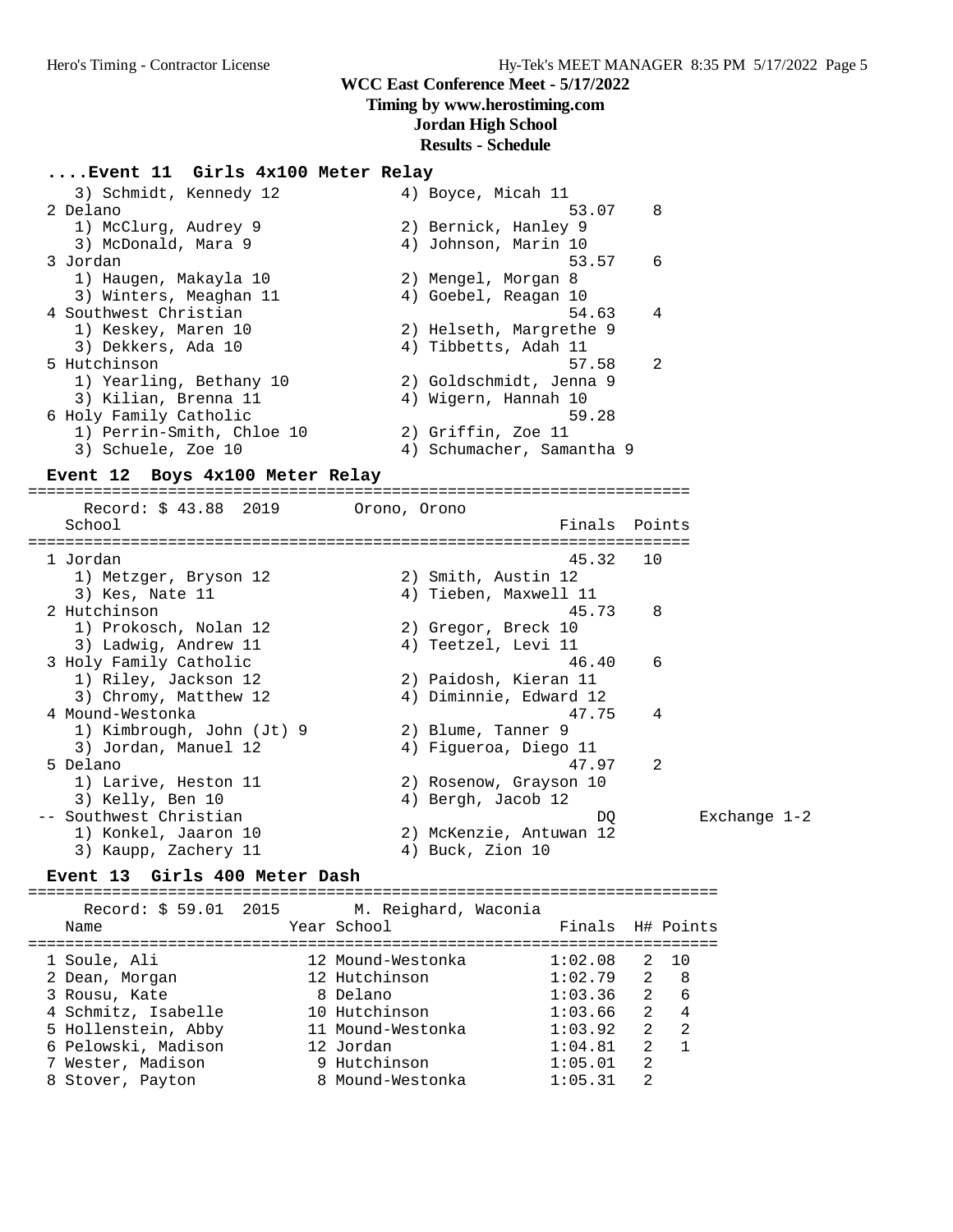#### **Timing by www.herostiming.com**

#### **Jordan High School**

#### **Results - Schedule**

#### **....Event 11 Girls 4x100 Meter Relay**

| 3) Schmidt, Kennedy 12    | 4) Boyce, Micah 11        |
|---------------------------|---------------------------|
| 2 Delano                  | 8<br>53.07                |
| 1) McClurg, Audrey 9      | 2) Bernick, Hanley 9      |
| 3) McDonald, Mara 9       | 4) Johnson, Marin 10      |
| 3 Jordan                  | 6<br>53.57                |
| 1) Haugen, Makayla 10     | 2) Mengel, Morgan 8       |
| 3) Winters, Meaghan 11    | 4) Goebel, Reagan 10      |
| 4 Southwest Christian     | 4<br>54.63                |
| 1) Keskey, Maren 10       | 2) Helseth, Margrethe 9   |
| 3) Dekkers, Ada 10        | 4) Tibbetts, Adah 11      |
| 5 Hutchinson              | $\mathfrak{D}$<br>57.58   |
| 1) Yearling, Bethany 10   | 2) Goldschmidt, Jenna 9   |
| 3) Kilian, Brenna 11      | 4) Wigern, Hannah 10      |
| 6 Holy Family Catholic    | 59.28                     |
| 1) Perrin-Smith, Chloe 10 | 2) Griffin, Zoe 11        |
| 3) Schuele, Zoe 10        | 4) Schumacher, Samantha 9 |

#### **Event 12 Boys 4x100 Meter Relay**

======================================================================= Record: \$ 43.88 2019 Orono, Orono School **Finals** Points Points Points Points Points Points Points Points Points Points Points Points Points Points Points Points Points Points Points Points Points Points Points Points Points Points Points Points Points Poi ======================================================================= 1 Jordan 45.32 10 1) Metzger, Bryson 12 (2) Smith, Austin 12 3) Kes, Nate 11 4) Tieben, Maxwell 11 2 Hutchinson 45.73 8 1) Prokosch, Nolan 12 2) Gregor, Breck 10 3) Ladwig, Andrew 11 (4) Teetzel, Levi 11 3 Holy Family Catholic 46.40 6 1) Riley, Jackson 12 2) Paidosh, Kieran 11 3) Chromy, Matthew 12 4) Diminnie, Edward 12 4 Mound-Westonka 47.75 4 1) Kimbrough, John (Jt) 9 2) Blume, Tanner 9 3) Jordan, Manuel 12 4) Figueroa, Diego 11 5 Delano 47.97 2 1) Larive, Heston 11 2) Rosenow, Grayson 10 3) Kelly, Ben 10 (4) Bergh, Jacob 12 3) Kelly, Ben 10 (3) Kelly, Ben 10 (4) Bergh, Jacob 12<br>-- Southwest Christian (5) DQ Exchange 1-2 1) Konkel, Jaaron 10 2) McKenzie, Antuwan 12 3) Kaupp, Zachery 11 4) Buck, Zion 10

#### **Event 13 Girls 400 Meter Dash**

==========================================================================

| Record: \$ 59.01 2015<br>Name              |  | M. Reighard, Waconia<br>Year School | Finals H# Points   |                    |           |
|--------------------------------------------|--|-------------------------------------|--------------------|--------------------|-----------|
| 1 Soule, Ali<br>2 Dean, Morgan             |  | 12 Mound-Westonka<br>12 Hutchinson  | 1:02.08<br>1:02.79 | 2<br>$\mathcal{L}$ | 10<br>- 8 |
| 3 Rousu, Kate                              |  | 8 Delano                            | 1:03.36            | $\overline{2}$     | -6        |
| 4 Schmitz, Isabelle<br>5 Hollenstein, Abby |  | 10 Hutchinson<br>11 Mound-Westonka  | 1:03.66<br>1:03.92 | $\mathcal{L}$<br>2 | 4<br>2    |
| 6 Pelowski, Madison                        |  | 12 Jordan                           | 1:04.81            | $\mathfrak{D}$     |           |
| 7 Wester, Madison                          |  | 9 Hutchinson                        | 1:05.01            | 2                  |           |
| 8 Stover, Payton                           |  | 8 Mound-Westonka                    | 1:05.31            | $\mathfrak{D}$     |           |
|                                            |  |                                     |                    |                    |           |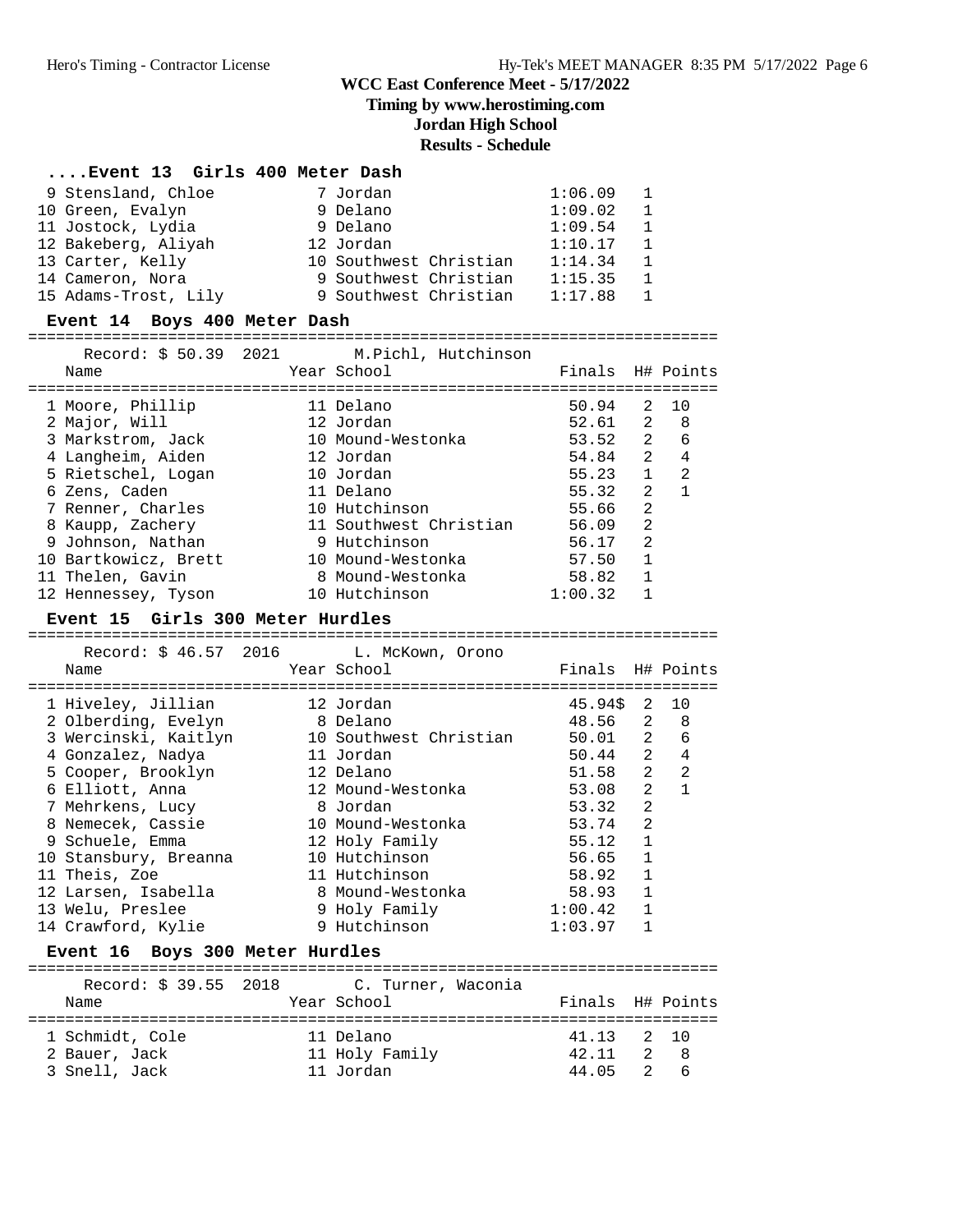**Timing by www.herostiming.com**

## **Jordan High School**

# **Results - Schedule**

| Event 13 Girls 400 Meter Dash          |  |                                           |                  |                                  |                |
|----------------------------------------|--|-------------------------------------------|------------------|----------------------------------|----------------|
| 9 Stensland, Chloe                     |  | 7 Jordan                                  | 1:06.09          | 1                                |                |
| 10 Green, Evalyn                       |  | 9 Delano                                  | 1:09.02          | $\mathbf{1}$                     |                |
| 11 Jostock, Lydia                      |  | 9 Delano                                  | 1:09.54          | $\mathbf{1}$                     |                |
| 12 Bakeberg, Aliyah                    |  | 12 Jordan                                 | 1:10.17          | 1                                |                |
| 13 Carter, Kelly                       |  | 10 Southwest Christian                    | 1:14.34          | $\mathbf{1}$                     |                |
| 14 Cameron, Nora                       |  | 9 Southwest Christian                     | 1:15.35          | $\mathbf{1}$                     |                |
| 15 Adams-Trost, Lily                   |  | 9 Southwest Christian                     | 1:17.88          | 1                                |                |
| Event 14 Boys 400 Meter Dash           |  |                                           |                  |                                  |                |
|                                        |  |                                           |                  |                                  |                |
|                                        |  | Record: \$50.39 2021 M. Pichl, Hutchinson |                  |                                  |                |
| Name                                   |  | Year School                               | Finals H# Points |                                  |                |
| 1 Moore, Phillip                       |  | 11 Delano                                 | 50.94            | 2                                | 10             |
| 2 Major, Will                          |  | 12 Jordan                                 | 52.61            | 2                                | 8              |
| 3 Markstrom, Jack                      |  | 10 Mound-Westonka                         | 53.52            | $\mathbf{2}$                     | 6              |
| 4 Langheim, Aiden                      |  | 12 Jordan                                 | 54.84            | $\overline{2}$                   | $\overline{4}$ |
| 5 Rietschel, Logan                     |  | 10 Jordan                                 | 55.23            | $\mathbf{1}$                     | 2              |
| 6 Zens, Caden                          |  | 11 Delano                                 | 55.32            | 2                                | $\mathbf{1}$   |
| 7 Renner, Charles                      |  | 10 Hutchinson                             | 55.66            | 2                                |                |
| 8 Kaupp, Zachery                       |  | 11 Southwest Christian                    | 56.09            | 2                                |                |
| 9 Johnson, Nathan                      |  | 9 Hutchinson                              | 56.17            | 2                                |                |
| 10 Bartkowicz, Brett                   |  | 10 Mound-Westonka                         | 57.50            | 1                                |                |
| 11 Thelen, Gavin                       |  | 8 Mound-Westonka                          | 58.82            | $\mathbf{1}$                     |                |
| 12 Hennessey, Tyson                    |  | 10 Hutchinson                             | 1:00.32          | 1                                |                |
| Event 15 Girls 300 Meter Hurdles       |  |                                           |                  |                                  |                |
|                                        |  |                                           |                  |                                  |                |
|                                        |  |                                           |                  |                                  |                |
| Record: \$46.57 2016                   |  | L. McKown, Orono                          |                  |                                  |                |
| Name                                   |  | Year School                               | Finals H# Points |                                  |                |
|                                        |  |                                           |                  |                                  |                |
| 1 Hiveley, Jillian                     |  | 12 Jordan                                 | 45.94\$          | 2                                | 10             |
| 2 Olberding, Evelyn                    |  | 8 Delano                                  | 48.56            | 2                                | 8<br>6         |
| 3 Wercinski, Kaitlyn                   |  | 10 Southwest Christian                    | 50.01            | 2                                | $\overline{4}$ |
| 4 Gonzalez, Nadya                      |  | 11 Jordan<br>12 Delano                    | 50.44            | $\overline{2}$<br>$\overline{2}$ | 2              |
| 5 Cooper, Brooklyn                     |  | 12 Mound-Westonka                         | 51.58<br>53.08   | $\overline{2}$                   | $\mathbf{1}$   |
| 6 Elliott, Anna                        |  | 8 Jordan                                  | 53.32            | 2                                |                |
| 7 Mehrkens, Lucy<br>8 Nemecek, Cassie  |  | 10 Mound-Westonka                         | 53.74            | 2                                |                |
| 9 Schuele, Emma                        |  |                                           | 55.12            | 1                                |                |
|                                        |  | 12 Holy Family<br>10 Hutchinson           | 56.65 1          |                                  |                |
| 10 Stansbury, Breanna<br>11 Theis, Zoe |  | 11 Hutchinson                             | 58.92            | 1                                |                |
| 12 Larsen, Isabella                    |  | 8 Mound-Westonka                          | 58.93            | 1                                |                |
| 13 Welu, Preslee                       |  | 9 Holy Family                             | 1:00.42          | 1                                |                |
| 14 Crawford, Kylie                     |  | 9 Hutchinson                              | 1:03.97          | 1                                |                |
| Event 16 Boys 300 Meter Hurdles        |  |                                           |                  |                                  |                |
|                                        |  |                                           |                  |                                  |                |
| Record: \$ 39.55 2018                  |  | C. Turner, Waconia                        |                  |                                  |                |
| Name                                   |  | Year School                               | Finals H# Points |                                  |                |
| 1 Schmidt, Cole                        |  | 11 Delano                                 | 41.13            | 2                                | 10             |
| 2 Bauer, Jack                          |  | 11 Holy Family                            | 42.11            | 2                                | 8              |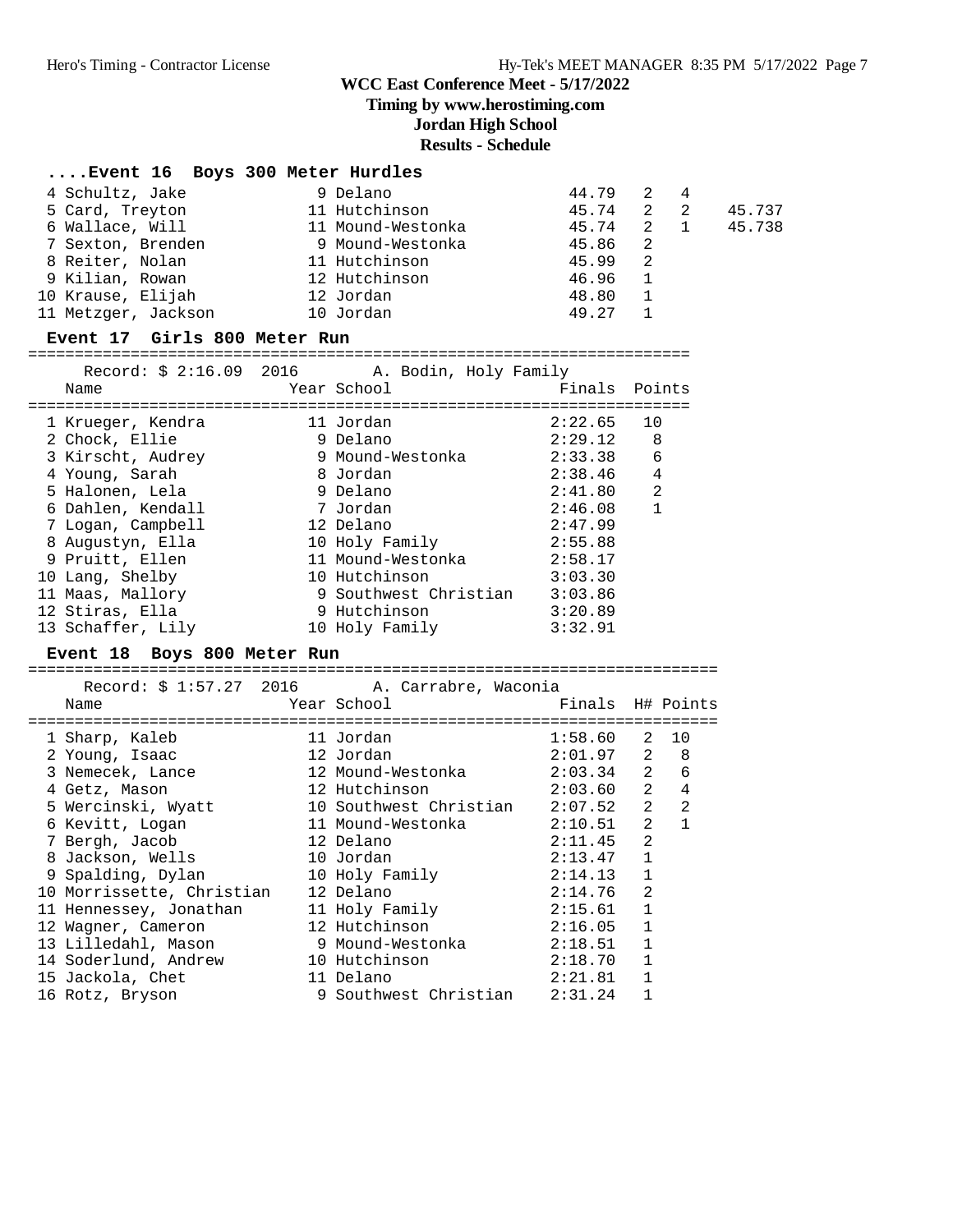**Timing by www.herostiming.com**

#### **Jordan High School**

#### **Results - Schedule**

| Event 16 Boys 300 Meter Hurdles |                   |       |                |     |        |
|---------------------------------|-------------------|-------|----------------|-----|--------|
| 4 Schultz, Jake                 | 9 Delano          | 44.79 | 2              | 4   |        |
| 5 Card, Treyton                 | 11 Hutchinson     | 45.74 | 2 2            |     | 45.737 |
| 6 Wallace, Will                 | 11 Mound-Westonka | 45.74 |                | 2 1 | 45.738 |
| 7 Sexton, Brenden               | 9 Mound-Westonka  | 45.86 | $\overline{2}$ |     |        |
| 8 Reiter, Nolan                 | 11 Hutchinson     | 45.99 | -2             |     |        |
| 9 Kilian, Rowan                 | 12 Hutchinson     | 46.96 |                |     |        |
| 10 Krause, Elijah               | 12 Jordan         | 48.80 |                |     |        |
| 11 Metzger, Jackson             | 10 Jordan         | 49.27 |                |     |        |

#### **Event 17 Girls 800 Meter Run**

=======================================================================

|                   | Record: \$ 2:16.09 2016 A. Bodin, Holy Family |               |              |
|-------------------|-----------------------------------------------|---------------|--------------|
| Name              | Year School                                   | Finals Points |              |
|                   |                                               |               |              |
| 1 Krueger, Kendra | 11 Jordan                                     | 2:22.65       | 10           |
| 2 Chock, Ellie    | 9 Delano                                      | 2:29.12       | 8            |
| 3 Kirscht, Audrey | 9 Mound-Westonka                              | 2:33.38       | 6            |
| 4 Young, Sarah    | 8 Jordan                                      | 2:38.46       | 4            |
| 5 Halonen, Lela   | 9 Delano                                      | 2:41.80       | 2            |
| 6 Dahlen, Kendall | 7 Jordan                                      | 2:46.08       | $\mathbf{1}$ |
| 7 Logan, Campbell | 12 Delano                                     | 2:47.99       |              |
| 8 Augustyn, Ella  | 10 Holy Family                                | 2:55.88       |              |
| 9 Pruitt, Ellen   | 11 Mound-Westonka                             | 2:58.17       |              |
| 10 Lang, Shelby   | 10 Hutchinson                                 | 3:03.30       |              |
| 11 Maas, Mallory  | 9 Southwest Christian                         | 3:03.86       |              |
| 12 Stiras, Ella   | 9 Hutchinson                                  | 3:20.89       |              |
| 13 Schaffer, Lily | 10 Holy Family                                | 3:32.91       |              |
|                   |                                               |               |              |

#### **Event 18 Boys 800 Meter Run**

========================================================================== Record: \$ 1:57.27 2016 A. Carrabre, Waconia

| Name |                                                                                                                                                                                                                                                                 |                                                                           |                                                                                                                                                                                                                                                |                                                                       |                                                                                                                                                                                                                                             |
|------|-----------------------------------------------------------------------------------------------------------------------------------------------------------------------------------------------------------------------------------------------------------------|---------------------------------------------------------------------------|------------------------------------------------------------------------------------------------------------------------------------------------------------------------------------------------------------------------------------------------|-----------------------------------------------------------------------|---------------------------------------------------------------------------------------------------------------------------------------------------------------------------------------------------------------------------------------------|
|      |                                                                                                                                                                                                                                                                 |                                                                           |                                                                                                                                                                                                                                                |                                                                       |                                                                                                                                                                                                                                             |
|      |                                                                                                                                                                                                                                                                 |                                                                           |                                                                                                                                                                                                                                                |                                                                       |                                                                                                                                                                                                                                             |
|      |                                                                                                                                                                                                                                                                 |                                                                           |                                                                                                                                                                                                                                                |                                                                       |                                                                                                                                                                                                                                             |
|      |                                                                                                                                                                                                                                                                 |                                                                           |                                                                                                                                                                                                                                                |                                                                       | 6                                                                                                                                                                                                                                           |
|      |                                                                                                                                                                                                                                                                 |                                                                           |                                                                                                                                                                                                                                                | 2                                                                     | 4                                                                                                                                                                                                                                           |
|      |                                                                                                                                                                                                                                                                 |                                                                           |                                                                                                                                                                                                                                                | 2                                                                     | $\overline{2}$                                                                                                                                                                                                                              |
|      |                                                                                                                                                                                                                                                                 |                                                                           |                                                                                                                                                                                                                                                |                                                                       | $\mathbf{1}$                                                                                                                                                                                                                                |
|      |                                                                                                                                                                                                                                                                 |                                                                           |                                                                                                                                                                                                                                                | 2                                                                     |                                                                                                                                                                                                                                             |
|      |                                                                                                                                                                                                                                                                 |                                                                           |                                                                                                                                                                                                                                                | $\mathbf{1}$                                                          |                                                                                                                                                                                                                                             |
|      |                                                                                                                                                                                                                                                                 |                                                                           |                                                                                                                                                                                                                                                | $\mathbf{1}$                                                          |                                                                                                                                                                                                                                             |
|      |                                                                                                                                                                                                                                                                 |                                                                           |                                                                                                                                                                                                                                                | $\mathfrak{D}$                                                        |                                                                                                                                                                                                                                             |
|      |                                                                                                                                                                                                                                                                 |                                                                           |                                                                                                                                                                                                                                                | $\mathbf{1}$                                                          |                                                                                                                                                                                                                                             |
|      |                                                                                                                                                                                                                                                                 |                                                                           |                                                                                                                                                                                                                                                | $\mathbf{1}$                                                          |                                                                                                                                                                                                                                             |
|      |                                                                                                                                                                                                                                                                 |                                                                           |                                                                                                                                                                                                                                                | $\mathbf{1}$                                                          |                                                                                                                                                                                                                                             |
|      |                                                                                                                                                                                                                                                                 |                                                                           |                                                                                                                                                                                                                                                | $\mathbf{1}$                                                          |                                                                                                                                                                                                                                             |
|      |                                                                                                                                                                                                                                                                 |                                                                           |                                                                                                                                                                                                                                                | $\mathbf{1}$                                                          |                                                                                                                                                                                                                                             |
|      |                                                                                                                                                                                                                                                                 |                                                                           |                                                                                                                                                                                                                                                |                                                                       |                                                                                                                                                                                                                                             |
|      | 1 Sharp, Kaleb<br>2 Young, Isaac<br>3 Nemecek, Lance<br>4 Getz, Mason<br>5 Wercinski, Wyatt<br>6 Kevitt, Logan<br>7 Bergh, Jacob<br>8 Jackson, Wells<br>9 Spalding, Dylan<br>13 Lilledahl, Mason<br>14 Soderlund, Andrew<br>15 Jackola, Chet<br>16 Rotz, Bryson | 10 Morrissette, Christian<br>11 Hennessey, Jonathan<br>12 Wagner, Cameron | Year School<br>11 Jordan<br>12 Jordan<br>12 Mound-Westonka<br>12 Hutchinson<br>11 Mound-Westonka<br>12 Delano<br>10 Jordan<br>10 Holy Family<br>12 Delano<br>11 Holy Family<br>12 Hutchinson<br>9 Mound-Westonka<br>10 Hutchinson<br>11 Delano | Recold P 1.97.47 2010 A. Callable, MacOllia<br>10 Southwest Christian | Finals H# Points<br>$1:58.60$ 2 10<br>$2:01.97$ 2 8<br>$2:03.34$ 2<br>2:03.60<br>2:07.52<br>$2:10.51$ 2<br>2:11.45<br>2:13.47<br>2:14.13<br>2:14.76<br>2:15.61<br>2:16.05<br>2:18.51<br>2:18.70<br>2:21.81<br>9 Southwest Christian 2:31.24 |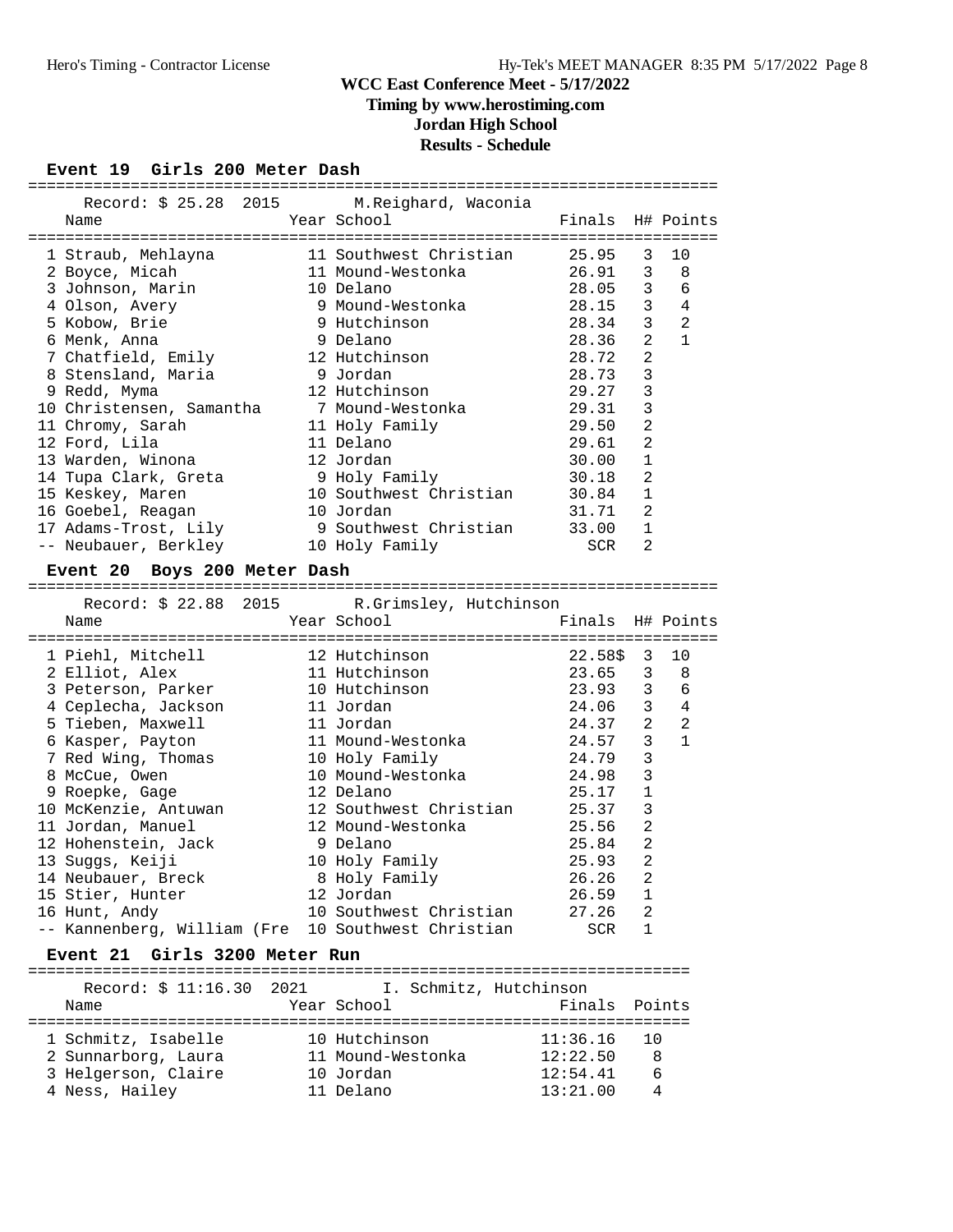**Timing by www.herostiming.com**

## **Jordan High School**

#### **Results - Schedule**

## **Event 19 Girls 200 Meter Dash**

| EVENC IS GIFIS 200 MECEL DASN                      |                                       |               |                |              |
|----------------------------------------------------|---------------------------------------|---------------|----------------|--------------|
| Record: \$ 25.28 2015                              | M. Reighard, Waconia                  |               |                |              |
| Name                                               | Year School                           | Finals        |                | H# Points    |
|                                                    |                                       |               |                |              |
| 1 Straub, Mehlayna                                 | 11 Southwest Christian                | 25.95         | 3              | 10           |
| 2 Boyce, Micah                                     | 11 Mound-Westonka                     | 26.91         | 3              | 8            |
| 3 Johnson, Marin                                   | 10 Delano                             | 28.05         | $\mathbf{3}$   | 6            |
| 4 Olson, Avery                                     | 9 Mound-Westonka                      | 28.15         | $\overline{3}$ | 4            |
| 5 Kobow, Brie                                      | 9 Hutchinson                          | 28.34         | 3              | 2            |
| 6 Menk, Anna                                       | 9 Delano                              | 28.36         | $\overline{2}$ | $\mathbf{1}$ |
| 7 Chatfield, Emily                                 | 12 Hutchinson                         | 28.72         | 2              |              |
| 8 Stensland, Maria                                 | 9 Jordan                              | 28.73         | $\overline{3}$ |              |
| 9 Redd, Myma                                       | 12 Hutchinson                         | 29.27         | $\overline{3}$ |              |
| 10 Christensen, Samantha                           | 7 Mound-Westonka                      | 29.31         | $\overline{3}$ |              |
| 11 Chromy, Sarah                                   | 11 Holy Family                        | 29.50         | $\overline{2}$ |              |
| 12 Ford, Lila                                      | 11 Delano                             | 29.61         | $\overline{2}$ |              |
| 13 Warden, Winona                                  | 12 Jordan                             | 30.00         | $\mathbf{1}$   |              |
| 14 Tupa Clark, Greta                               | 9 Holy Family                         | 30.18         | $\overline{a}$ |              |
| 15 Keskey, Maren                                   | 10 Southwest Christian                | 30.84         | $\mathbf{1}$   |              |
| 16 Goebel, Reagan                                  | 10 Jordan                             | 31.71         | 2              |              |
| 17 Adams-Trost, Lily                               | 9 Southwest Christian                 | 33.00         | 1              |              |
| -- Neubauer, Berkley                               | 10 Holy Family                        | SCR           | 2              |              |
| Event 20 Boys 200 Meter Dash                       |                                       |               |                |              |
|                                                    |                                       |               |                |              |
|                                                    |                                       |               |                |              |
| Record: \$ 22.88 2015                              |                                       |               |                |              |
| Name                                               | R.Grimsley, Hutchinson<br>Year School | Finals        |                | H# Points    |
|                                                    |                                       |               |                |              |
| 1 Piehl, Mitchell                                  | 12 Hutchinson                         | 22.58\$       | 3              | 10           |
| 2 Elliot, Alex                                     | 11 Hutchinson                         | 23.65         | 3              | 8            |
| 3 Peterson, Parker                                 | 10 Hutchinson                         | 23.93         | $\overline{3}$ | 6            |
| 4 Ceplecha, Jackson                                | 11 Jordan                             | 24.06         | $\mathbf{3}$   | 4            |
| 5 Tieben, Maxwell                                  | 11 Jordan                             | 24.37         | 2              | 2            |
| 6 Kasper, Payton                                   | 11 Mound-Westonka                     | 24.57         | 3              | $\mathbf{1}$ |
| 7 Red Wing, Thomas                                 | 10 Holy Family                        | 24.79         | $\overline{3}$ |              |
| 8 McCue, Owen                                      | 10 Mound-Westonka                     | 24.98         | $\overline{3}$ |              |
| 9 Roepke, Gage                                     | 12 Delano                             | 25.17         | $\mathbf{1}$   |              |
| 10 McKenzie, Antuwan                               | 12 Southwest Christian                | 25.37         | 3              |              |
| 11 Jordan, Manuel                                  | 12 Mound-Westonka                     | 25.56         | $\overline{a}$ |              |
| 12 Hohenstein, Jack                                | 9 Delano                              | 25.84         | 2              |              |
| 13 Suggs, Keiji                                    | 10 Holy Family                        | 25.93         | $\overline{2}$ |              |
| 14 Neubauer, Breck                                 | 8 Holy Family                         | 26.26         | 2              |              |
| 15 Stier, Hunter                                   | 12 Jordan                             | 26.59         | 1              |              |
| 16 Hunt, Andy                                      | 10 Southwest Christian                | 27.26         | 2              |              |
| -- Kannenberg, William (Fre 10 Southwest Christian |                                       | SCR           | 1              |              |
| Event 21 Girls 3200 Meter Run                      |                                       |               |                |              |
|                                                    |                                       |               |                |              |
| Record: \$ 11:16.30 2021<br>Name                   | I. Schmitz, Hutchinson<br>Year School | Finals Points |                |              |

======================================================================= 1 Schmitz, Isabelle 10 Hutchinson 11:36.16 10 2 Sunnarborg, Laura 11 Mound-Westonka 12:22.50 8 3 Helgerson, Claire 10 Jordan 12:54.41 6 4 Ness, Hailey 11 Delano 13:21.00 4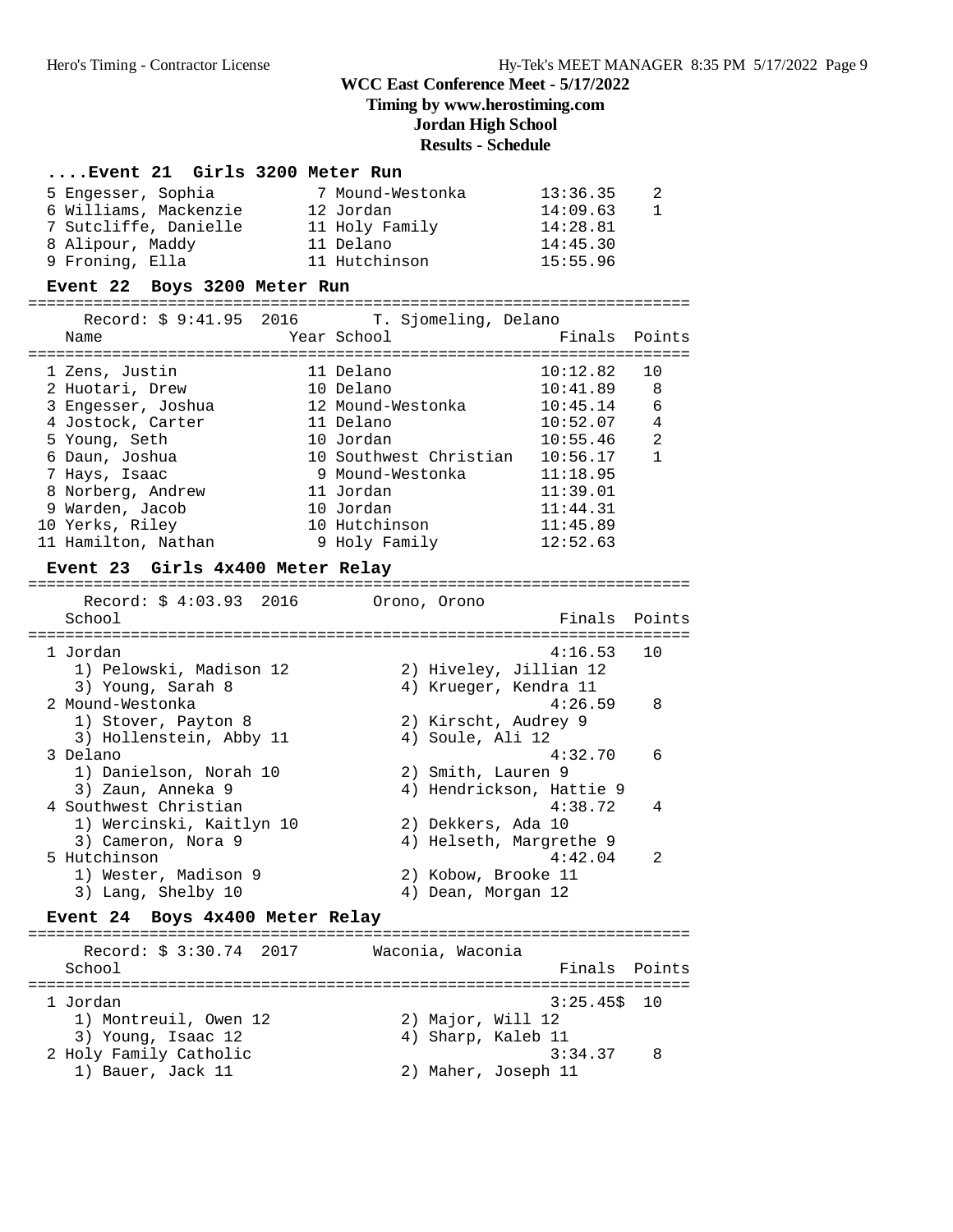## **Timing by www.herostiming.com**

## **Jordan High School**

4) Sharp, Kaleb 11

2) Maher, Joseph 11

|                                                                                                                                                                                                                                                        |                                                                                                                                                                                 | <b>Results - Schedule</b> |                                                                                                                                  |                                                     |
|--------------------------------------------------------------------------------------------------------------------------------------------------------------------------------------------------------------------------------------------------------|---------------------------------------------------------------------------------------------------------------------------------------------------------------------------------|---------------------------|----------------------------------------------------------------------------------------------------------------------------------|-----------------------------------------------------|
| Event 21 Girls 3200 Meter Run                                                                                                                                                                                                                          |                                                                                                                                                                                 |                           |                                                                                                                                  |                                                     |
| 5 Engesser, Sophia<br>6 Williams, Mackenzie<br>7 Sutcliffe, Danielle 11 Holy Family<br>8 Alipour, Maddy<br>9 Froning, Ella<br>Event 22 Boys 3200 Meter Run                                                                                             | 7 Mound-Westonka<br>12 Jordan<br>11 Delano<br>11 Hutchinson                                                                                                                     |                           | 13:36.35<br>14:09.63<br>14:28.81<br>14:45.30<br>15:55.96                                                                         | 2<br>$\mathbf{1}$                                   |
|                                                                                                                                                                                                                                                        |                                                                                                                                                                                 |                           |                                                                                                                                  |                                                     |
| Record: \$ 9:41.95 2016<br>Name                                                                                                                                                                                                                        | Year School                                                                                                                                                                     | T. Sjomeling, Delano      | Finals                                                                                                                           | Points                                              |
| 1 Zens, Justin<br>2 Huotari, Drew<br>3 Engesser, Joshua<br>4 Jostock, Carter<br>5 Young, Seth<br>6 Daun, Joshua<br>7 Hays, Isaac<br>8 Norberg, Andrew<br>9 Warden, Jacob<br>10 Yerks, Riley<br>11 Hamilton, Nathan<br>Event 23 Girls 4x400 Meter Relay | 11 Delano<br>10 Delano<br>12 Mound-Westonka<br>11 Delano<br>10 Jordan<br>10 Southwest Christian<br>9 Mound-Westonka<br>11 Jordan<br>10 Jordan<br>10 Hutchinson<br>9 Holy Family |                           | 10:12.82<br>10:41.89<br>10:45.14<br>10:52.07<br>10:55.46<br>10:56.17<br>11:18.95<br>11:39.01<br>11:44.31<br>11:45.89<br>12:52.63 | 10<br>8<br>6<br>$\overline{4}$<br>2<br>$\mathbf{1}$ |
|                                                                                                                                                                                                                                                        |                                                                                                                                                                                 |                           |                                                                                                                                  |                                                     |
| Record: $$4:03.93$ 2016<br>School                                                                                                                                                                                                                      | Orono, Orono                                                                                                                                                                    |                           | Finals                                                                                                                           | Points                                              |
| 1 Jordan<br>1) Pelowski, Madison 12<br>3) Young, Sarah 8<br>2 Mound-Westonka<br>1) Stover, Payton 8                                                                                                                                                    |                                                                                                                                                                                 |                           | 4:16.53<br>2) Hiveley, Jillian 12<br>4) Krueger, Kendra 11<br>4:26.59<br>2) Kirscht, Audrey 9                                    | 10<br>8                                             |
| 3) Hollenstein, Abby 11<br>3 Delano<br>1) Danielson, Norah 10                                                                                                                                                                                          |                                                                                                                                                                                 | 4) Soule, Ali 12          | 4:32.70<br>2) Smith, Lauren 9                                                                                                    | 6                                                   |
| 3) Zaun, Anneka 9<br>4 Southwest Christian<br>1) Wercinski, Kaitlyn 10                                                                                                                                                                                 |                                                                                                                                                                                 |                           | 4) Hendrickson, Hattie 9<br>4:38.72<br>2) Dekkers, Ada 10                                                                        | 4                                                   |
| 3) Cameron, Nora 9<br>5 Hutchinson<br>1) Wester, Madison 9<br>3) Lang, Shelby 10                                                                                                                                                                       |                                                                                                                                                                                 |                           | 4) Helseth, Margrethe 9<br>4:42.04<br>2) Kobow, Brooke 11<br>4) Dean, Morgan 12                                                  | 2                                                   |
| Boys 4x400 Meter Relay<br><b>Event 24</b>                                                                                                                                                                                                              |                                                                                                                                                                                 |                           |                                                                                                                                  |                                                     |
| Record: $$3:30.74$ 2017<br>School                                                                                                                                                                                                                      |                                                                                                                                                                                 | Waconia, Waconia          | Finals                                                                                                                           | Points                                              |
| 1 Jordan<br>1) Montreuil, Owen 12<br>3) Young, Isaac 12                                                                                                                                                                                                |                                                                                                                                                                                 | 2) Major, Will 12         | $3:25.45$ \$<br>4) Sharp, Kaleb 11                                                                                               | 10                                                  |

2 Holy Family Catholic 3:34.37 8<br>1) Bauer, Jack 11 32) Maher, Joseph 11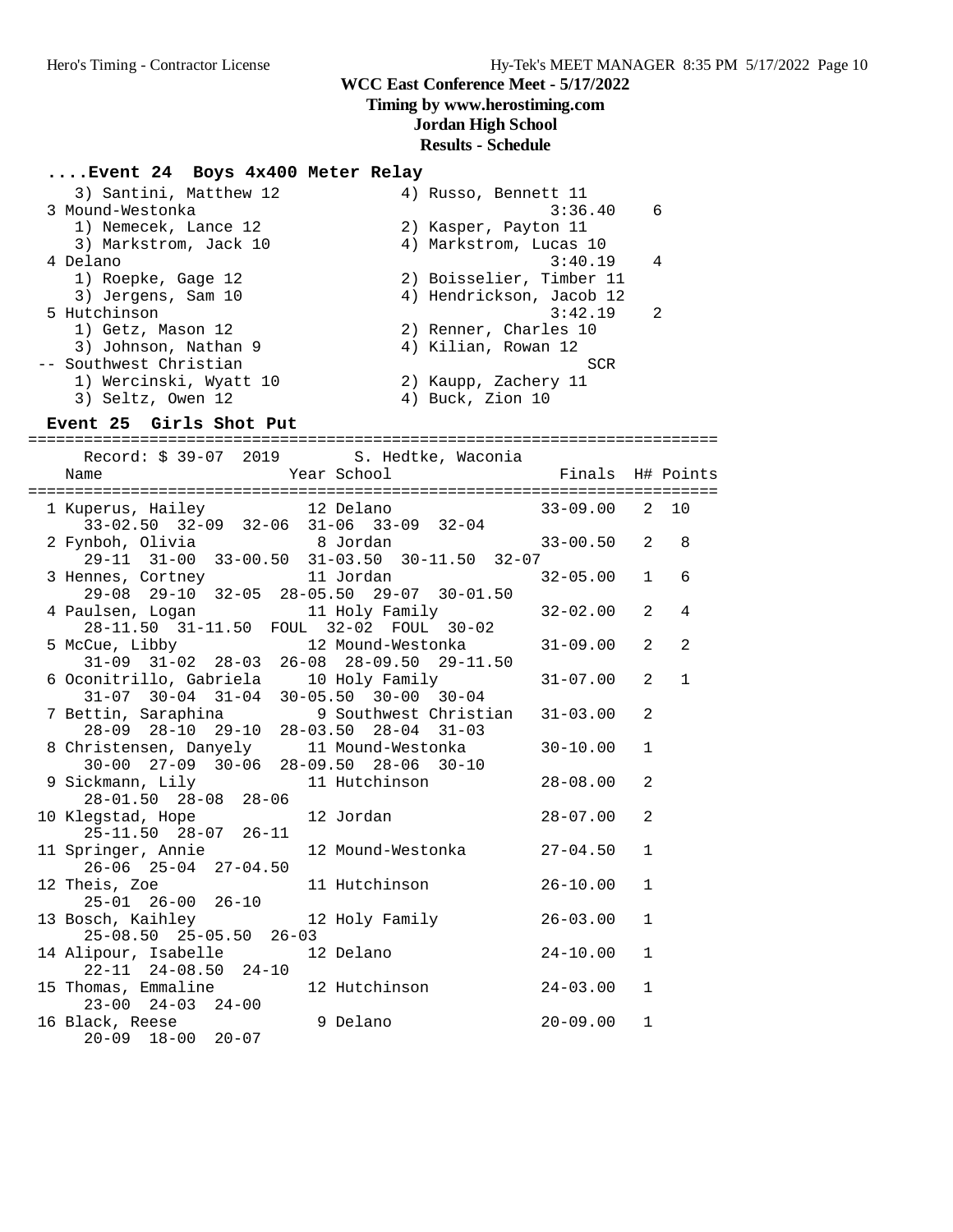## **Timing by www.herostiming.com**

### **Jordan High School**

#### **Results - Schedule**

# **....Event 24 Boys 4x400 Meter Relay**

| 3) Santini, Matthew 12 |            |                                                                                                                                                                                                                            |
|------------------------|------------|----------------------------------------------------------------------------------------------------------------------------------------------------------------------------------------------------------------------------|
| 3 Mound-Westonka       | 3:36.40    | 6                                                                                                                                                                                                                          |
| 1) Nemecek, Lance 12   |            |                                                                                                                                                                                                                            |
| 3) Markstrom, Jack 10  |            |                                                                                                                                                                                                                            |
| 4 Delano               | 3:40.19    | 4                                                                                                                                                                                                                          |
| 1) Roepke, Gage 12     |            |                                                                                                                                                                                                                            |
| 3) Jergens, Sam 10     |            |                                                                                                                                                                                                                            |
| 5 Hutchinson           | 3:42.19    | $\mathcal{L}$                                                                                                                                                                                                              |
| 1) Getz, Mason 12      |            |                                                                                                                                                                                                                            |
| 3) Johnson, Nathan 9   |            |                                                                                                                                                                                                                            |
| -- Southwest Christian | <b>SCR</b> |                                                                                                                                                                                                                            |
| 1) Wercinski, Wyatt 10 |            |                                                                                                                                                                                                                            |
| 3) Seltz, Owen 12      |            |                                                                                                                                                                                                                            |
|                        |            | 4) Russo, Bennett 11<br>2) Kasper, Payton 11<br>4) Markstrom, Lucas 10<br>2) Boisselier, Timber 11<br>4) Hendrickson, Jacob 12<br>2) Renner, Charles 10<br>4) Kilian, Rowan 12<br>2) Kaupp, Zachery 11<br>4) Buck, Zion 10 |

#### **Event 25 Girls Shot Put**

==========================================================================

| Record: \$ 39-07 2019 S. Hedtke, Waconia                                                                                               |  |                  |                |                |
|----------------------------------------------------------------------------------------------------------------------------------------|--|------------------|----------------|----------------|
|                                                                                                                                        |  |                  |                |                |
|                                                                                                                                        |  |                  |                |                |
| 1 Kuperus, Hailey 12 Delano                                                                                                            |  | $33-09.00$ 2 10  |                |                |
| $33-02.50$ $32-09$ $32-06$ $31-06$ $33-09$ $32-04$                                                                                     |  |                  |                |                |
| 2 Fynboh, Olivia 1988 Jordan                                                                                                           |  | $33 - 00.50$ 2 8 |                |                |
| 29-11 31-00 33-00.50 31-03.50 30-11.50 32-07                                                                                           |  |                  |                |                |
|                                                                                                                                        |  |                  |                |                |
| 3 Hennes, Cortney<br>29-08 29-10 32-05 28-05.50 29-07 30-01.50                                                                         |  | $32 - 05.00$     | $\mathbf{1}$   | 6              |
|                                                                                                                                        |  |                  |                |                |
|                                                                                                                                        |  | $32 - 02.00$     | 2              | $\overline{4}$ |
| 4 Paulsen, Logan 11 Holy Family<br>28-11.50 31-11.50 FOUL 32-02 FOUL 30-02                                                             |  |                  |                |                |
| 5 McCue, Libby 12 Mound-Westonka                                                                                                       |  | $31 - 09.00$     | 2              | 2              |
| 31-09 31-02 28-03 26-08 28-09.50 29-11.50                                                                                              |  |                  |                |                |
|                                                                                                                                        |  |                  | $\mathfrak{D}$ | $\mathbf{1}$   |
| 6 Oconitrillo, Gabriela 10 Holy Family                                                                                                 |  | $31 - 07.00$     |                |                |
|                                                                                                                                        |  |                  |                |                |
|                                                                                                                                        |  |                  | $\mathfrak{D}$ |                |
| 31-07 30-04 31-04 30-05.50 30-00 30-04<br>7 Bettin, Saraphina 9 Southwest Christian 31-03.00<br>28-09 28-10 29-10 28-03.50 28-04 31-03 |  |                  |                |                |
| 8 Christensen, Danyely 11 Mound-Westonka                                                                                               |  | 30-10.00         | $\mathbf{1}$   |                |
| 30-00 27-09 30-06 28-09.50 28-06 30-10                                                                                                 |  |                  |                |                |
| 9 Sickmann, Lily 11 Hutchinson                                                                                                         |  | $28 - 08.00$     | 2              |                |
| $28-01.50$ $28-08$ $28-06$                                                                                                             |  |                  |                |                |
|                                                                                                                                        |  |                  |                |                |
|                                                                                                                                        |  | $28 - 07.00$     | 2              |                |
| 10 Klegstad, Hope 12 Jordan<br>25-11.50 28-07 26-11                                                                                    |  |                  |                |                |
| 11 Springer, Annie 12 Mound-Westonka 17-04.50                                                                                          |  |                  | $\mathbf{1}$   |                |
| $26-06$ $25-04$ $27-04.50$                                                                                                             |  |                  |                |                |
| 12 Theis, Zoe and 11 Hutchinson                                                                                                        |  | $26 - 10.00$     | $\mathbf{1}$   |                |
| 25-01 26-00 26-10                                                                                                                      |  |                  |                |                |
| 13 Bosch, Kaihley 12 Holy Family                                                                                                       |  |                  | $\mathbf{1}$   |                |
|                                                                                                                                        |  | $26 - 03.00$     |                |                |
| $25-08.50$ $25-05.50$ $26-03$                                                                                                          |  |                  |                |                |
| 14 Alipour, Isabelle 12 Delano                                                                                                         |  | $24 - 10.00$     | $\mathbf{1}$   |                |
| 22-11 24-08.50 24-10                                                                                                                   |  |                  |                |                |
| 15 Thomas, Emmaline 12 Hutchinson                                                                                                      |  | $24 - 03.00$     | $\mathbf{1}$   |                |
| $23 - 00$ $24 - 03$ $24 - 00$                                                                                                          |  |                  |                |                |
| 16 Black, Reese 3 9 Delano                                                                                                             |  | $20 - 09.00$     | $\mathbf{1}$   |                |
| $20-09$ $18-00$ $20-07$                                                                                                                |  |                  |                |                |
|                                                                                                                                        |  |                  |                |                |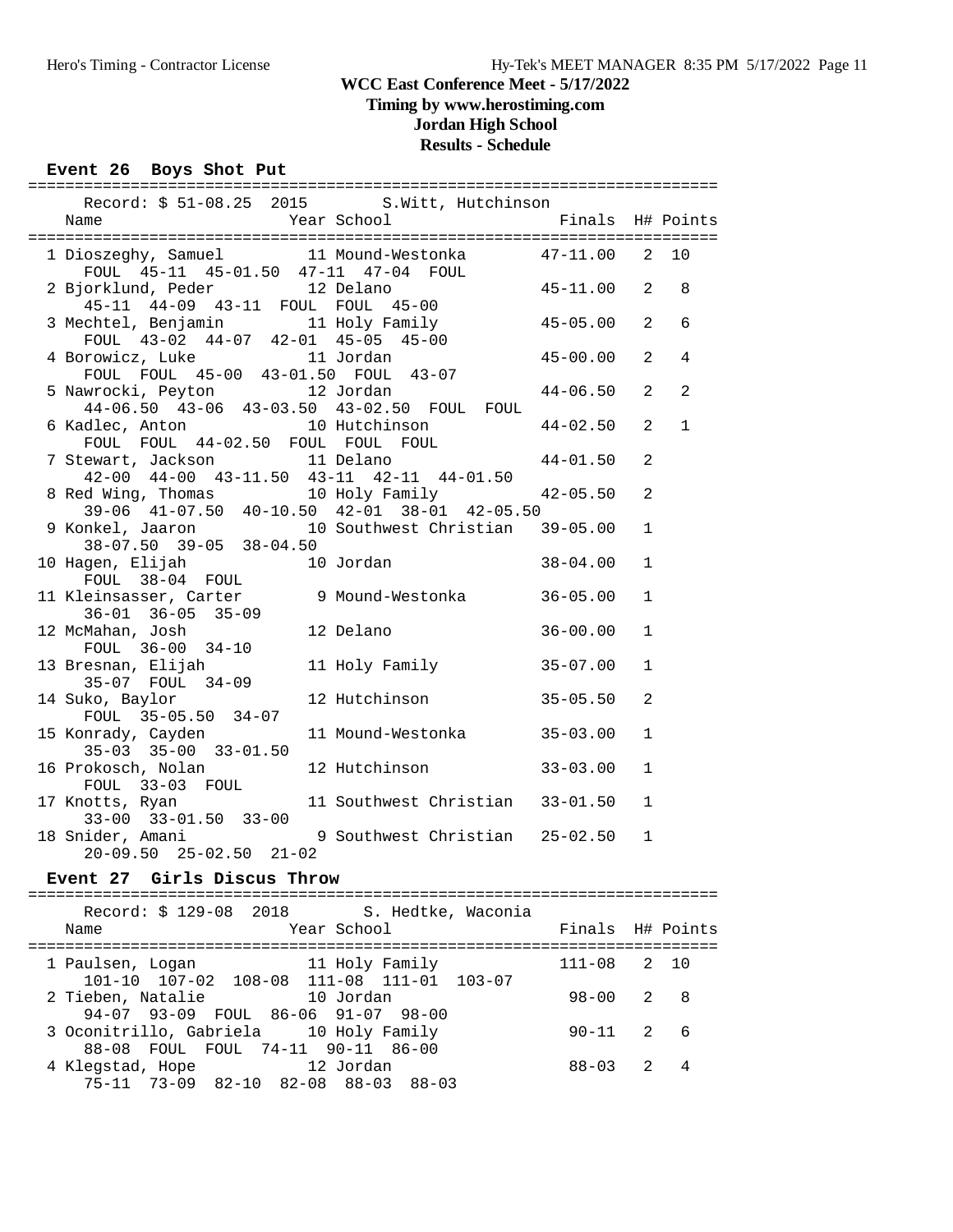## **Timing by www.herostiming.com**

# **Jordan High School**

#### **Results - Schedule**

#### **Event 26 Boys Shot Put** ==========================================================================

| Record: \$ 51-08.25 2015 S. Witt, Hutchinson                                                                                  |                                 |                  |              |              |
|-------------------------------------------------------------------------------------------------------------------------------|---------------------------------|------------------|--------------|--------------|
| Name<br>Finals H# Points Year School Finals H# Points                                                                         |                                 |                  |              |              |
|                                                                                                                               |                                 |                  |              |              |
| 1 Dioszeghy, Samuel 11 Mound-Westonka 47-11.00 2 10<br>FOUL 45-11 45-01.50 47-11 47-04 FOUL                                   |                                 |                  |              |              |
| 2 Bjorklund, Peder 12 Delano<br>45-11 44-09 43-11 FOUL FOUL 45-00                                                             |                                 | $45 - 11.00$ 2   |              | 8            |
| 3 Mechtel, Benjamin 11 Holy Family 45-05.00<br>FOUL 43-02 44-07 42-01 45-05 45-00                                             |                                 |                  | 2            | 6            |
| 4 Borowicz, Luke 11 Jordan<br>FOUL FOUL 45-00 43-01.50 FOUL 43-07                                                             |                                 | $45 - 00.00$     | 2            | 4            |
| 5 Nawrocki, Peyton 12 Jordan 44-06.50 43-06 43-03.50 43-02.50 FOUL FOUL                                                       |                                 | $44 - 06.50$     | 2            | 2            |
| 6 Kadlec, Anton 10 Hutchinson 44-02.50<br>FOUL FOUL 44-02.50 FOUL FOUL FOUL 44-01.50<br>7 Stewart, Jackson 11 Delano 44-01.50 |                                 |                  | 2            | $\mathbf{1}$ |
| 42-00 44-00 43-11.50 43-11 42-11 44-01.50                                                                                     |                                 |                  | 2            |              |
| 8 Red Wing, Thomas 10 Holy Family 42<br>39-06 41-07.50 40-10.50 42-01 38-01 42-05.50                                          |                                 | $42 - 05.50$     | 2            |              |
| 9 Konkel, Jaaron 10 Southwest Christian 39-05.00<br>38-07.50 39-05 38-04.50                                                   |                                 |                  | $\mathbf{1}$ |              |
| 10 Hagen, Elijah 10 Jordan<br>FOUL 38-04 FOUL 10 Jordan                                                                       |                                 | 38-04.00         | $\mathbf{1}$ |              |
| 11 Kleinsasser, Carter 9 Mound-Westonka 36-05.00<br>36-01 36-05 35-09<br>12 McMahan, Josh                                     |                                 |                  | $\mathbf{1}$ |              |
| FOUL 36-00 34-10                                                                                                              | 12 Delano                       | $36 - 00.00$     | $\mathbf{1}$ |              |
| 13 Bresnan, Elijah<br>35-07 FOUL 34-09                                                                                        | 11 Holy Family 35-07.00         |                  | $\mathbf{1}$ |              |
| 14 Suko, Baylor 12 Hutchinson<br>FOUL 35-05.50 34-07                                                                          |                                 | $35 - 05.50$     | 2            |              |
| 15 Konrady, Cayden<br>$35-03$ $35-00$ $33-01.50$                                                                              | 11 Mound-Westonka 35-03.00      |                  | $\mathbf{1}$ |              |
| 16 Prokosch, Nolan<br>FOUL 33-03 FOUL                                                                                         | 12 Hutchinson 33-03.00          |                  | $\mathbf{1}$ |              |
| 17 Knotts, Ryan<br>$33-00$ $33-01.50$ $33-00$                                                                                 | 11 Southwest Christian 33-01.50 |                  | $\mathbf{1}$ |              |
| 18 Snider, Amani (25-02.50) 9 Southwest Christian (25-02.50<br>$20-09.50$ $25-02.50$ $21-02$                                  |                                 |                  | $\mathbf{1}$ |              |
| Event 27 Girls Discus Throw                                                                                                   |                                 |                  |              |              |
| Record: \$ 129-08 2018 S. Hedtke, Waconia                                                                                     |                                 |                  |              |              |
| Name                                                                                                                          | Year School                     | Finals H# Points |              |              |
| 1 Paulsen, Loqan<br>101-10 107-02 108-08 111-08 111-01 103-07                                                                 | 11 Holy Family                  | 111-08 2         |              | 10           |
| 2 Tieben, Natalie<br>94-07 93-09 FOUL 86-06 91-07 98-00                                                                       | 10 Jordan                       | $98 - 00$ 2      |              | 8            |
| 3 Oconitrillo, Gabriela 10 Holy Family<br>88-08 FOUL FOUL 74-11 90-11 86-00                                                   |                                 | $90 - 11$        | 2            | 6            |
| 4 Klegstad, Hope 12 Jordan                                                                                                    |                                 | 88-03            | 2            | 4            |

75-11 73-09 82-10 82-08 88-03 88-03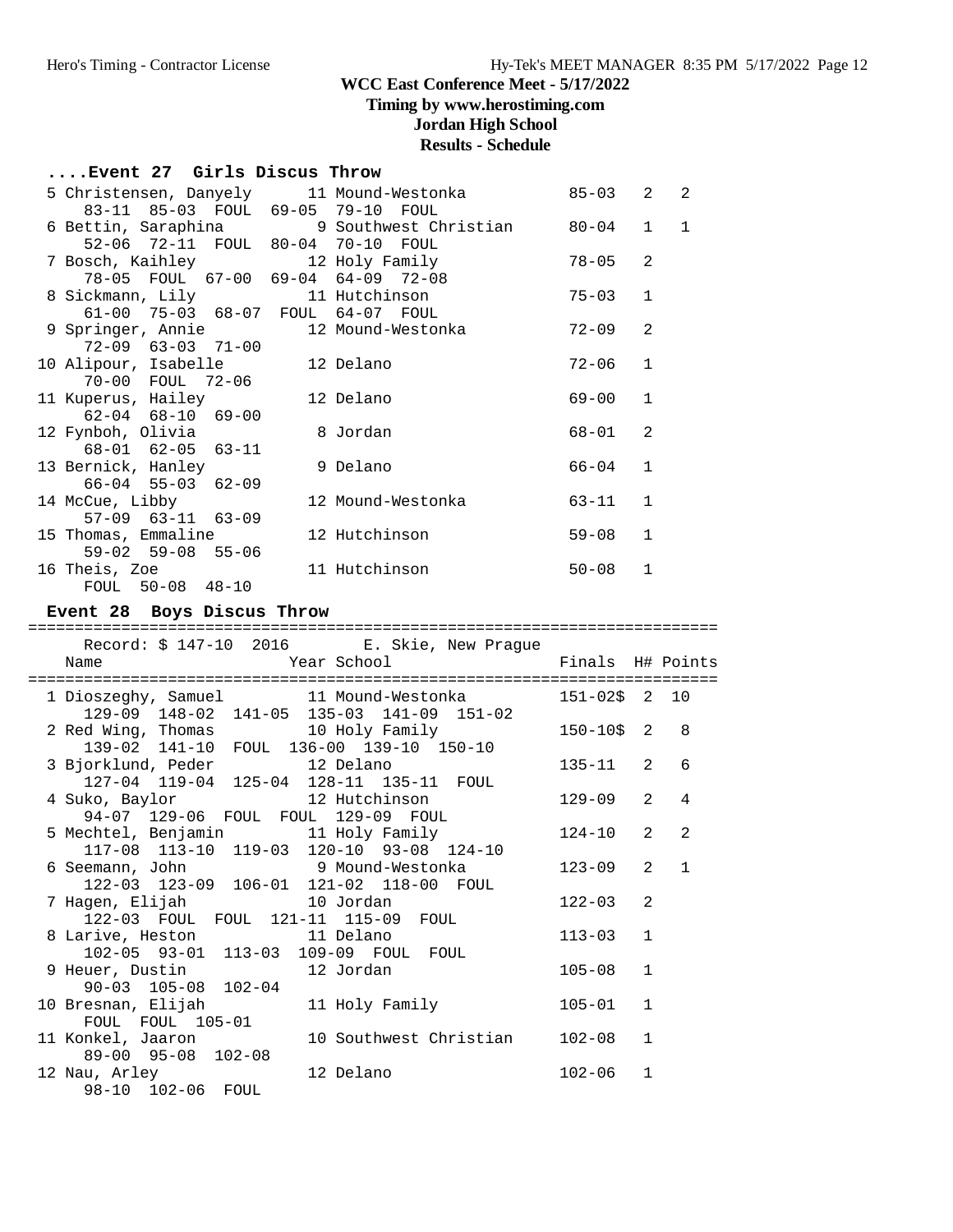**Timing by www.herostiming.com**

**Jordan High School**

# **Results - Schedule**

#### **....Event 27 Girls Discus Throw**

| 5 Christensen, Danyely      11 Mound-Westonka     |                                                           | $85 - 03$ | 2              | $\mathcal{L}$ |
|---------------------------------------------------|-----------------------------------------------------------|-----------|----------------|---------------|
| 83-11 85-03 FOUL 69-05 79-10 FOUL                 |                                                           |           |                |               |
|                                                   | 6 Bettin, Saraphina (2008) 9 Southwest Christian (20-04 1 |           |                | $\mathbf{1}$  |
| 52-06 72-11 FOUL 80-04 70-10 FOUL                 |                                                           |           |                |               |
| 7 Bosch, Kaihley                   12 Holy Family |                                                           | $78 - 05$ | 2              |               |
| 78-05 FOUL 67-00 69-04 64-09 72-08                |                                                           |           |                |               |
| 8 Sickmann, Lily 11 Hutchinson                    |                                                           | 75-03     | $\mathbf{1}$   |               |
| 61-00 75-03 68-07 FOUL 64-07 FOUL                 |                                                           |           |                |               |
| 9 Springer, Annie 12 Mound-Westonka               |                                                           | $72 - 09$ | $\mathfrak{D}$ |               |
| $72 - 09$ 63-03 71-00                             |                                                           |           |                |               |
| 10 Alipour, Isabelle 12 Delano                    |                                                           | 72-06     | $\mathbf{1}$   |               |
| 70-00 FOUL 72-06                                  |                                                           |           |                |               |
| 11 Kuperus, Hailey                                | 12 Delano                                                 | 69-00     | $\mathbf{1}$   |               |
| $62 - 04$ $68 - 10$ $69 - 00$                     |                                                           |           |                |               |
| 12 Fynboh, Olivia                                 | 8 Jordan                                                  | 68-01     | 2              |               |
| 68-01 62-05 63-11                                 |                                                           |           |                |               |
| 13 Bernick, Hanley                                | 9 Delano                                                  | 66-04     | $\mathbf{1}$   |               |
| $66 - 04$ 55-03 62-09                             |                                                           |           |                |               |
| 14 McCue, Libby                                   | 12 Mound-Westonka                                         | 63-11     | $\mathbf{1}$   |               |
| $57-09$ $63-11$ $63-09$                           |                                                           |           | $\mathbf{1}$   |               |
| 15 Thomas, Emmaline                               | 12 Hutchinson                                             | $59 - 08$ |                |               |
| $59 - 02$ $59 - 08$ $55 - 06$                     |                                                           |           |                |               |
| 16 Theis, Zoe                                     | 11 Hutchinson                                             | $50 - 08$ | $\mathbf{1}$   |               |
| FOUL 50-08 48-10                                  |                                                           |           |                |               |

#### **Event 28 Boys Discus Throw**

| Record: \$ 147-10 2016 E. Skie, New Prague                         |                        |                  |                |                            |
|--------------------------------------------------------------------|------------------------|------------------|----------------|----------------------------|
| Name                                                               |                        | ============     |                |                            |
| 1 Dioszeghy, Samuel 11 Mound-Westonka                              |                        | $151 - 025$ 2 10 |                |                            |
| 129-09 148-02 141-05 135-03 141-09 151-02                          |                        |                  |                |                            |
| 2 Red Wing, Thomas 10 Holy Family                                  |                        | $150 - 10$ \$2   |                | $\overline{\phantom{0}}$ 8 |
| 139-02 141-10 FOUL 136-00 139-10 150-10                            |                        |                  |                |                            |
| 3 Bjorklund, Peder 12 Delano                                       |                        | $135 - 11$ 2     |                | $\sqrt{2}$                 |
| 127-04 119-04 125-04 128-11 135-11 FOUL                            |                        |                  |                |                            |
| 4 Suko, Baylor 12 Hutchinson                                       |                        | $129 - 09$       | 2 <sup>0</sup> | $\overline{4}$             |
| 94-07 129-06 FOUL FOUL 129-09 FOUL                                 |                        |                  |                |                            |
|                                                                    |                        | $124 - 10$ 2     |                | 2                          |
| 117-08 113-10 119-03 120-10 93-08 124-10                           |                        |                  |                |                            |
| 6 Seemann, John 9 Mound-Westonka                                   |                        | $123 - 09$ 2     |                | $\mathbf{1}$               |
| 122-03 123-09 106-01 121-02 118-00 FOUL                            |                        |                  |                |                            |
|                                                                    |                        | $122 - 03$       | $\mathfrak{D}$ |                            |
| 122-03 FOUL FOUL 121-11 115-09 FOUL                                |                        |                  |                |                            |
|                                                                    |                        | $113 - 03$       | $\overline{1}$ |                            |
| 8 Larive, Heston 11 Delano<br>102-05 93-01 113-03 109-09 FOUL FOUL |                        |                  |                |                            |
| 9 Heuer, Dustin 12 Jordan                                          |                        | $105 - 08$       | $\mathbf{1}$   |                            |
| 90-03 105-08 102-04                                                |                        |                  |                |                            |
| 10 Bresnan, Elijah                                                 | 11 Holy Family         | $105 - 01$       | $\mathbf{1}$   |                            |
| FOUL FOUL 105-01                                                   |                        |                  |                |                            |
| 11 Konkel, Jaaron                                                  | 10 Southwest Christian | $102 - 08$       | $\mathbf{1}$   |                            |
| 89-00 95-08 102-08                                                 |                        |                  |                |                            |
| 12 Nau, Arley                                                      | 12 Delano              | $102 - 06$       | $\mathbf{1}$   |                            |
| 98-10 102-06 FOUL                                                  |                        |                  |                |                            |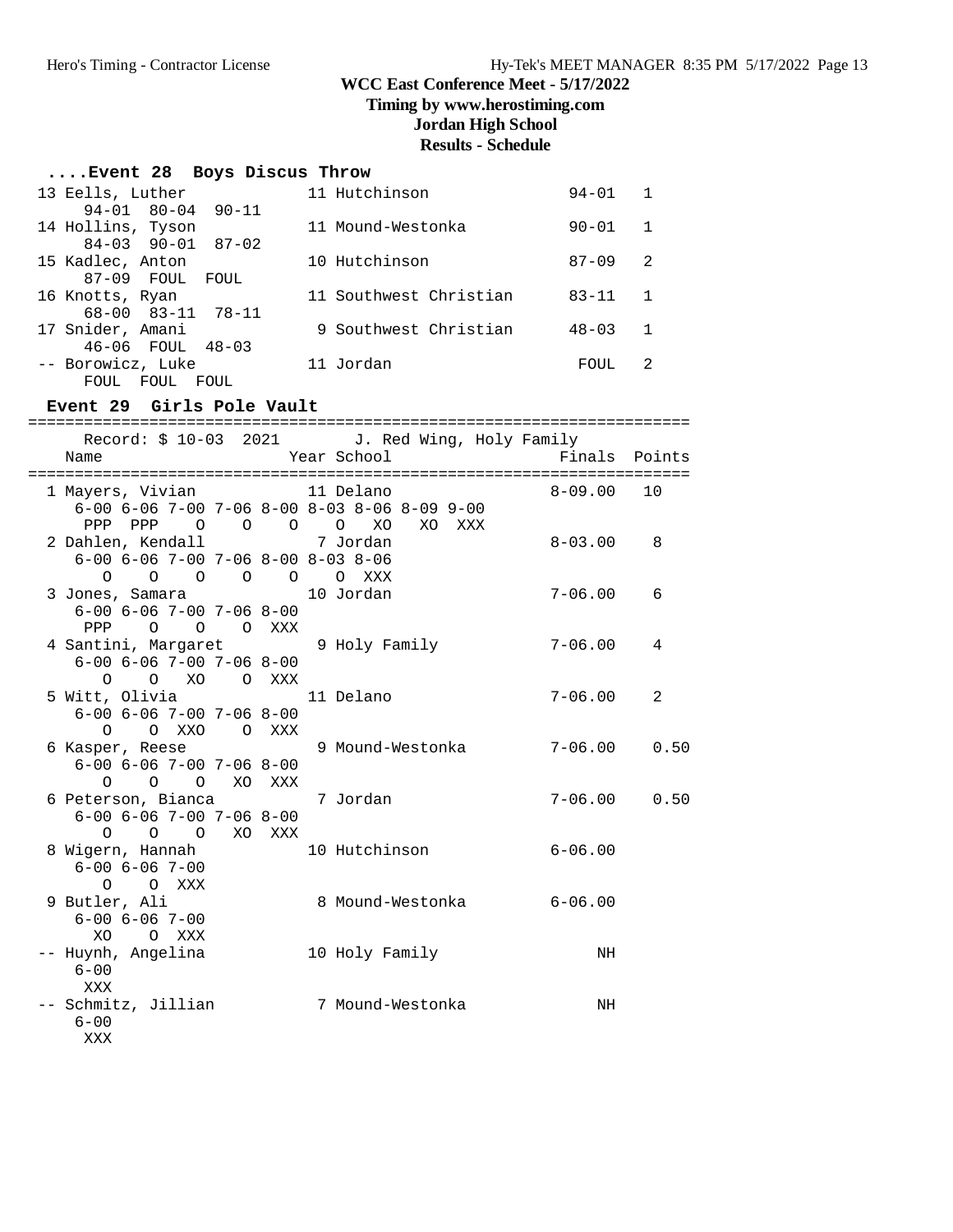## **Timing by www.herostiming.com**

**Jordan High School**

# **Results - Schedule**

# **....Event 28 Boys Discus Throw**

| 13 Eells, Luther        | 11 Hutchinson          | $94 - 01$ |    |
|-------------------------|------------------------|-----------|----|
| 94-01 80-04 90-11       |                        |           |    |
| 14 Hollins, Tyson       | 11 Mound-Westonka      | $90 - 01$ |    |
| $84-03$ 90-01 87-02     |                        |           |    |
| 15 Kadlec, Anton        | 10 Hutchinson          | $87 - 09$ | -2 |
| 87-09 FOUL<br>FOUL.     |                        |           |    |
| 16 Knotts, Ryan         | 11 Southwest Christian | $83 - 11$ |    |
| 68-00 83-11 78-11       |                        |           |    |
| 17 Snider, Amani        | 9 Southwest Christian  | $48 - 03$ |    |
| $48 - 03$<br>46-06 FOUL |                        |           |    |
| -- Borowicz, Luke       | 11 Jordan              | FOUL.     |    |
| FOUL<br>FOUL<br>FOUL    |                        |           |    |

#### **Event 29 Girls Pole Vault**

|                                                  |  | Record: \$ 10-03 2021 J. Red Wing, Holy Family                 |                  |      |
|--------------------------------------------------|--|----------------------------------------------------------------|------------------|------|
| Name                                             |  | Year School                                                    | Finals Points    |      |
|                                                  |  |                                                                |                  |      |
| 1 Mayers, Vivian 11 Delano                       |  |                                                                | 8-09.00 10       |      |
|                                                  |  | $6-00$ $6-06$ $7-00$ $7-06$ $8-00$ $8-03$ $8-06$ $8-09$ $9-00$ |                  |      |
|                                                  |  | PPP PPP 0 0 0 0 XO XO XXX                                      |                  |      |
| 2 Dahlen, Kendall and 7 Jordan                   |  |                                                                | $8 - 03.00$      | 8    |
| $6-00$ $6-06$ $7-00$ $7-06$ $8-00$ $8-03$ $8-06$ |  |                                                                |                  |      |
| 0 0 0 0 0 0 XXX                                  |  |                                                                |                  |      |
| 3 Jones, Samara 10 Jordan                        |  |                                                                | $7 - 06.00$      | 6    |
| $6 - 00$ $6 - 06$ $7 - 00$ $7 - 06$ $8 - 00$     |  |                                                                |                  |      |
| PPP 0 0 0 XXX                                    |  |                                                                |                  |      |
| 4 Santini, Margaret 9 Holy Family                |  |                                                                | $7 - 06.00$      | 4    |
| $6 - 00$ $6 - 06$ $7 - 00$ $7 - 06$ $8 - 00$     |  |                                                                |                  |      |
| $\Omega$<br>O XO O XXX                           |  |                                                                |                  |      |
| 5 Witt, Olivia                                   |  | 11 Delano                                                      | 7-06.00          | 2    |
| $6 - 00$ $6 - 06$ $7 - 00$ $7 - 06$ $8 - 00$     |  |                                                                |                  |      |
| O O XXO O XXX                                    |  |                                                                |                  |      |
|                                                  |  | 6 Kasper, Reese 5 9 Mound-Westonka 5 7-06.00                   |                  | 0.50 |
| $6 - 00$ $6 - 06$ $7 - 00$ $7 - 06$ $8 - 00$     |  |                                                                |                  |      |
| 0 0 0 XO XXX                                     |  |                                                                |                  |      |
| 6 Peterson, Bianca 6 7 Jordan                    |  |                                                                | $7 - 06.00$ 0.50 |      |
| $6 - 00$ $6 - 06$ $7 - 00$ $7 - 06$ $8 - 00$     |  |                                                                |                  |      |
| O O O XO XXX                                     |  |                                                                |                  |      |
| 8 Wigern, Hannah                                 |  | 10 Hutchinson                                                  | $6 - 06.00$      |      |
| $6 - 00$ $6 - 06$ $7 - 00$                       |  |                                                                |                  |      |
| O O XXX                                          |  |                                                                |                  |      |
| 9 Butler, Ali                                    |  |                                                                |                  |      |
| $6 - 00$ $6 - 06$ $7 - 00$<br>XO OXXX            |  |                                                                |                  |      |
|                                                  |  |                                                                |                  |      |
| -- Huynh, Angelina<br>$6 - 00$                   |  | 10 Holy Family                                                 | NH               |      |
|                                                  |  |                                                                |                  |      |
| XXX<br>-- Schmitz, Jillian 7 Mound-Westonka      |  |                                                                | NH               |      |
| $6 - 00$                                         |  |                                                                |                  |      |
| XXX                                              |  |                                                                |                  |      |
|                                                  |  |                                                                |                  |      |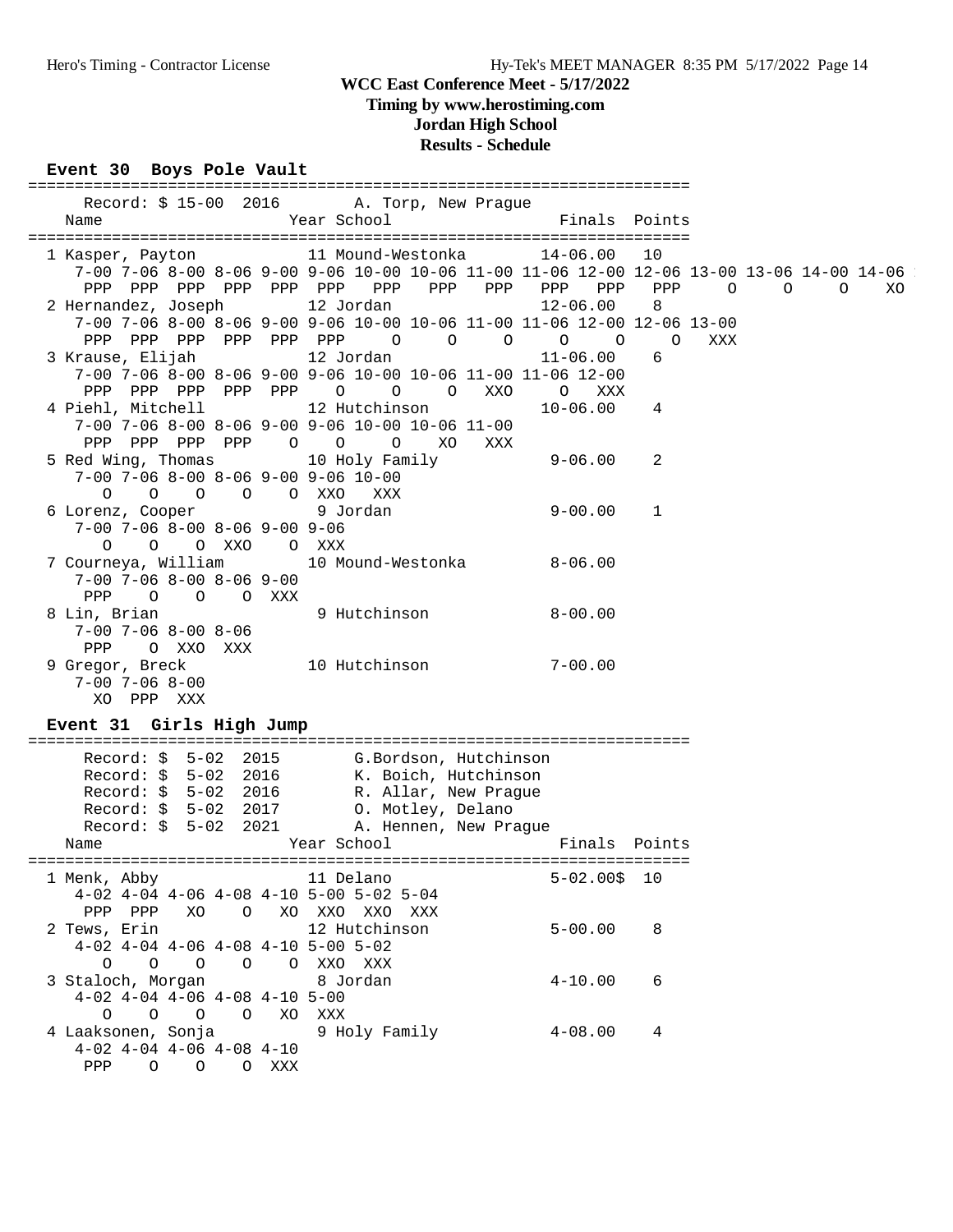## **Timing by www.herostiming.com**

**Jordan High School**

# **Results - Schedule**

#### **Event 30 Boys Pole Vault**

| Record: \$15-00 2016 A. Torp, New Prague<br>Year School<br>Name                                                                                                                                                                                                         | Finals Points                                                               |
|-------------------------------------------------------------------------------------------------------------------------------------------------------------------------------------------------------------------------------------------------------------------------|-----------------------------------------------------------------------------|
| 1 Kasper, Payton 11 Mound-Westonka 14-06.00 10<br>7-00 7-06 8-00 8-06 9-00 9-06 10-00 10-06 11-00 11-06 12-00 12-06 13-00 13-06 14-00 14-06<br>2 Hernandez, Joseph 12 Jordan<br>$12 - 06.00$<br>7-00 7-06 8-00 8-06 9-00 9-06 10-00 10-06 11-00 11-06 12-00 12-06 13-00 | PPP<br>$\begin{array}{ccccccccccccc}\n0 & 0 & 0 & \n\end{array}$<br>XO<br>8 |
| PPP PPP PPP PPP PPP PPP 0 0 0 0 0<br>3 Krause, Elijah                         12 Jordan<br>$11 - 06.00$<br>7-00 7-06 8-00 8-06 9-00 9-06 10-00 10-06 11-00 11-06 12-00<br>PPP PPP PPP PPP PPP 0 0 0 XX0 0 XXX                                                           | $\circ$<br>XXX<br>6                                                         |
| 4 Piehl, Mitchell 12 Hutchinson 10-06.00 4<br>$7-00$ $7-06$ $8-00$ $8-06$ $9-00$ $9-06$ $10-00$ $10-06$ $11-00$<br>PPP PPP PPP PPP 0 0 0 XO<br>XXX                                                                                                                      |                                                                             |
| 5 Red Wing, Thomas 10 Holy Family 9-06.00 2<br>7-00 7-06 8-00 8-06 9-00 9-06 10-00<br>0 0 0 0 0 XXO XXX                                                                                                                                                                 |                                                                             |
| 6 Lorenz, Cooper 9 Jordan<br>$9 - 00.00 1$<br>$7-00$ $7-06$ $8-00$ $8-06$ $9-00$ $9-06$<br>O O O XXO O XXX                                                                                                                                                              |                                                                             |
| 7 Courneya, William 10 Mound-Westonka 8-06.00<br>$7-00$ $7-06$ $8-00$ $8-06$ $9-00$<br>PPP 0 0 0 XXX                                                                                                                                                                    |                                                                             |
| 9 Hutchinson 8-00.00<br>8 Lin, Brian<br>$7-00$ $7-06$ $8-00$ $8-06$<br>O XXO XXX<br>PPP<br>9 Gregor, Breck $\frac{10 \text{ Hutchinson}}{700.7066060}$<br>$7 - 00.00$<br>$7 - 00$ $7 - 06$ $8 - 00$                                                                     |                                                                             |
| XO PPP XXX<br>Event 31 Girls High Jump                                                                                                                                                                                                                                  |                                                                             |
| Record: \$ 5-02 2015 G.Bordson, Hutchinson<br>Record: \$ 5-02 2016 K. Boich, Hutchinson<br>Record: \$ 5-02 2016 R. Allar, New Prague<br>Record: \$ 5-02 2017 0. Motley, Delano<br>Record: \$ 5-02 2021<br>A. Hennen, New Prague<br>Year School<br>Name                  | Finals Points                                                               |
| 1 Menk, Abby 11 Delano 5-02.00\$ 10<br>$4-02$ $4-04$ $4-06$ $4-08$ $4-10$ $5-00$ $5-02$ $5-04$<br>PPP PPP XO O XO XXO XXO XXX                                                                                                                                           |                                                                             |
| 2 Tews, Erin 12 Hutchinson<br>$5 - 00.00$<br>$4-02$ $4-04$ $4-06$ $4-08$ $4-10$ $5-00$ $5-02$                                                                                                                                                                           | 8                                                                           |
| $\begin{matrix} 0 & 0 & 0 & 0 & 0 & 0 & 0 \end{matrix} \quad \begin{matrix} \text{XXO} & \text{XXX} \\ \text{XXO} & \text{XXX} \end{matrix}$<br>3 Staloch, Morgan 8 Jordan<br>$4 - 10.00$<br>$4-02$ $4-04$ $4-06$ $4-08$ $4-10$ $5-00$<br>0 0 0 0 XO XXX                | 6                                                                           |
| 9 Holy Family<br>4 Laaksonen, Sonja<br>$4 - 08.00$<br>$4-02$ $4-04$ $4-06$ $4-08$ $4-10$<br>PPP 0 0 0 XXX                                                                                                                                                               | 4                                                                           |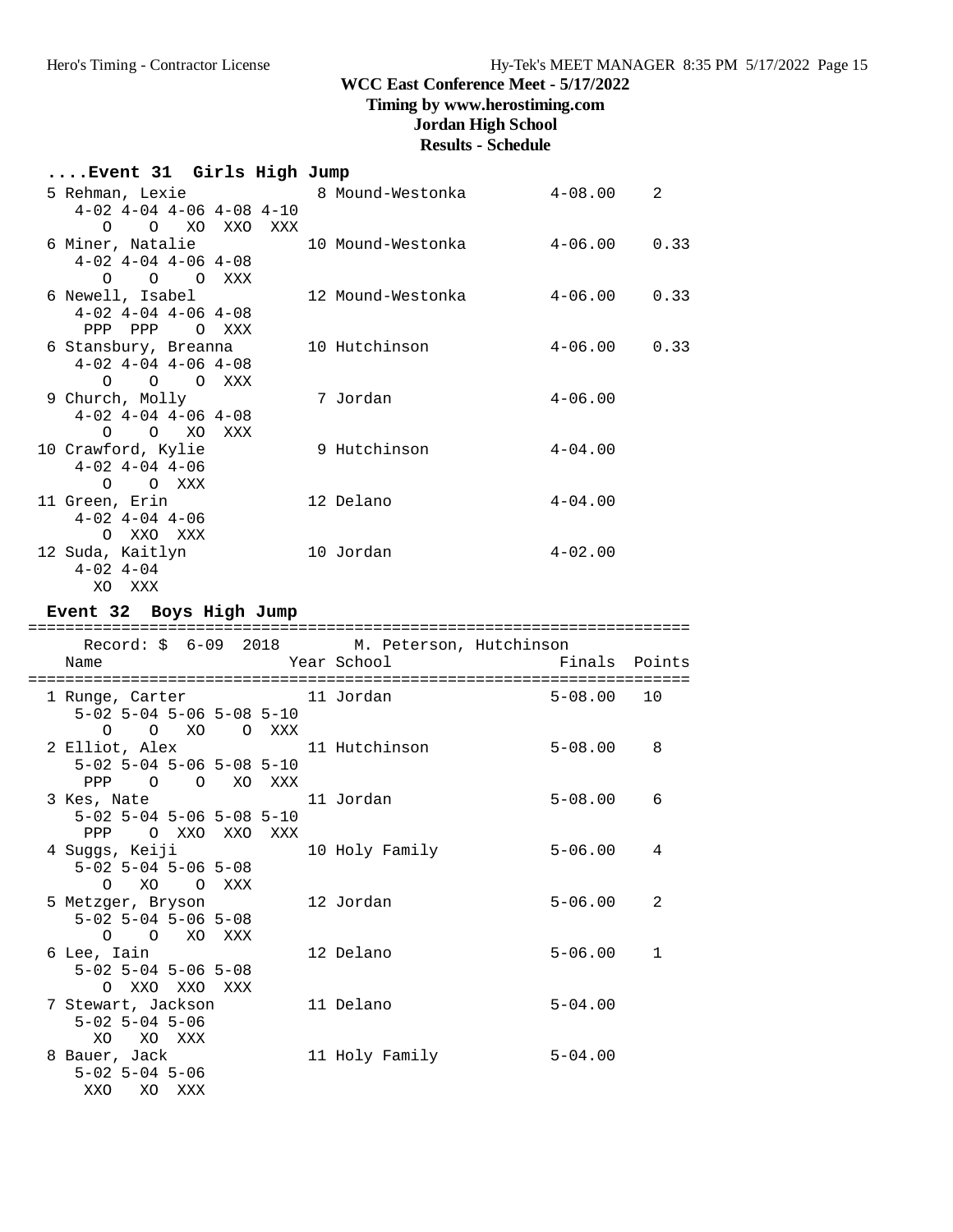## **Timing by www.herostiming.com**

## **Jordan High School**

# **Results - Schedule**

| Event 31 Girls High Jump           |                   |             |      |
|------------------------------------|-------------------|-------------|------|
| 5 Rehman, Lexie 6 8 Mound-Westonka |                   | $4 - 08.00$ | 2    |
| $4-02$ $4-04$ $4-06$ $4-08$ $4-10$ |                   |             |      |
| O XO XXO XXX<br>$\Omega$           |                   |             |      |
| 6 Miner, Natalie 10 Mound-Westonka |                   | $4 - 06.00$ | 0.33 |
| $4-02$ $4-04$ $4-06$ $4-08$        |                   |             |      |
| $O$ $O$ $O$ $XXX$                  |                   |             |      |
| 6 Newell, Isabel                   | 12 Mound-Westonka | $4 - 06.00$ | 0.33 |
| $4-02$ $4-04$ $4-06$ $4-08$        |                   |             |      |
| PPP PPP OXXX                       |                   |             |      |
| 6 Stansbury, Breanna               | 10 Hutchinson     | $4 - 06.00$ | 0.33 |
| $4-02$ $4-04$ $4-06$ $4-08$        |                   |             |      |
| O O O XXX                          |                   |             |      |
| 9 Church, Molly                    | 7 Jordan          | $4 - 06.00$ |      |
| $4-02$ $4-04$ $4-06$ $4-08$        |                   |             |      |
| O O XO XXX                         |                   |             |      |
| 10 Crawford, Kylie                 | 9 Hutchinson      | $4 - 04.00$ |      |
| $4 - 02$ $4 - 04$ $4 - 06$         |                   |             |      |
| $O$ $O$ $XXX$                      |                   |             |      |
| 11 Green, Erin                     | 12 Delano         | $4 - 04.00$ |      |
| $4 - 02$ $4 - 04$ $4 - 06$         |                   |             |      |
| O XXO XXX                          |                   |             |      |
| 12 Suda, Kaitlyn                   | 10 Jordan         | $4 - 02.00$ |      |
| $4 - 02$ $4 - 04$                  |                   |             |      |
| XO XXX                             |                   |             |      |

## **Event 32 Boys High Jump**

| Record: \$ 6-09 2018 M. Peterson, Hutchinson |  |                |                |                |
|----------------------------------------------|--|----------------|----------------|----------------|
| Name                                         |  |                |                |                |
| 1 Runge, Carter 11 Jordan                    |  |                | $5 - 08.00$ 10 |                |
| $5-02$ 5-04 5-06 5-08 5-10                   |  |                |                |                |
| 0 0 XO O XXX                                 |  |                |                |                |
| 2 Elliot, Alex 11 Hutchinson                 |  |                | $5 - 08.00$ 8  |                |
| $5-02$ $5-04$ $5-06$ $5-08$ $5-10$           |  |                |                |                |
| PPP 0 0 XO XXX                               |  |                |                |                |
| 3 Kes, Nate 11 Jordan                        |  |                | $5 - 08.00$    | -6             |
| $5-02$ 5-04 5-06 5-08 5-10                   |  |                |                |                |
| PPP<br>O XXO XXO XXX                         |  |                |                |                |
| 4 Suggs, Keiji                               |  | 10 Holy Family | $5 - 06.00$    | $\overline{4}$ |
| $5 - 02$ $5 - 04$ $5 - 06$ $5 - 08$          |  |                |                |                |
| O XO O XXX                                   |  |                |                |                |
| 5 Metzger, Bryson                            |  | 12 Jordan      | $5 - 06.00$    | 2              |
| $5 - 02$ $5 - 04$ $5 - 06$ $5 - 08$          |  |                |                |                |
| O O XO XXX                                   |  |                |                |                |
| 6 Lee, Iain                                  |  | 12 Delano      | $5 - 06.00$    | $\overline{1}$ |
| $5 - 02$ $5 - 04$ $5 - 06$ $5 - 08$          |  |                |                |                |
| O XXO XXO XXX                                |  |                |                |                |
| 7 Stewart, Jackson                           |  | 11 Delano      | $5 - 04.00$    |                |
| $5 - 02$ $5 - 04$ $5 - 06$                   |  |                |                |                |
| XO XO XXX                                    |  |                |                |                |
| 8 Bauer, Jack                                |  | 11 Holy Family | $5 - 04.00$    |                |
| $5 - 02$ $5 - 04$ $5 - 06$                   |  |                |                |                |
| XXO XO XXX                                   |  |                |                |                |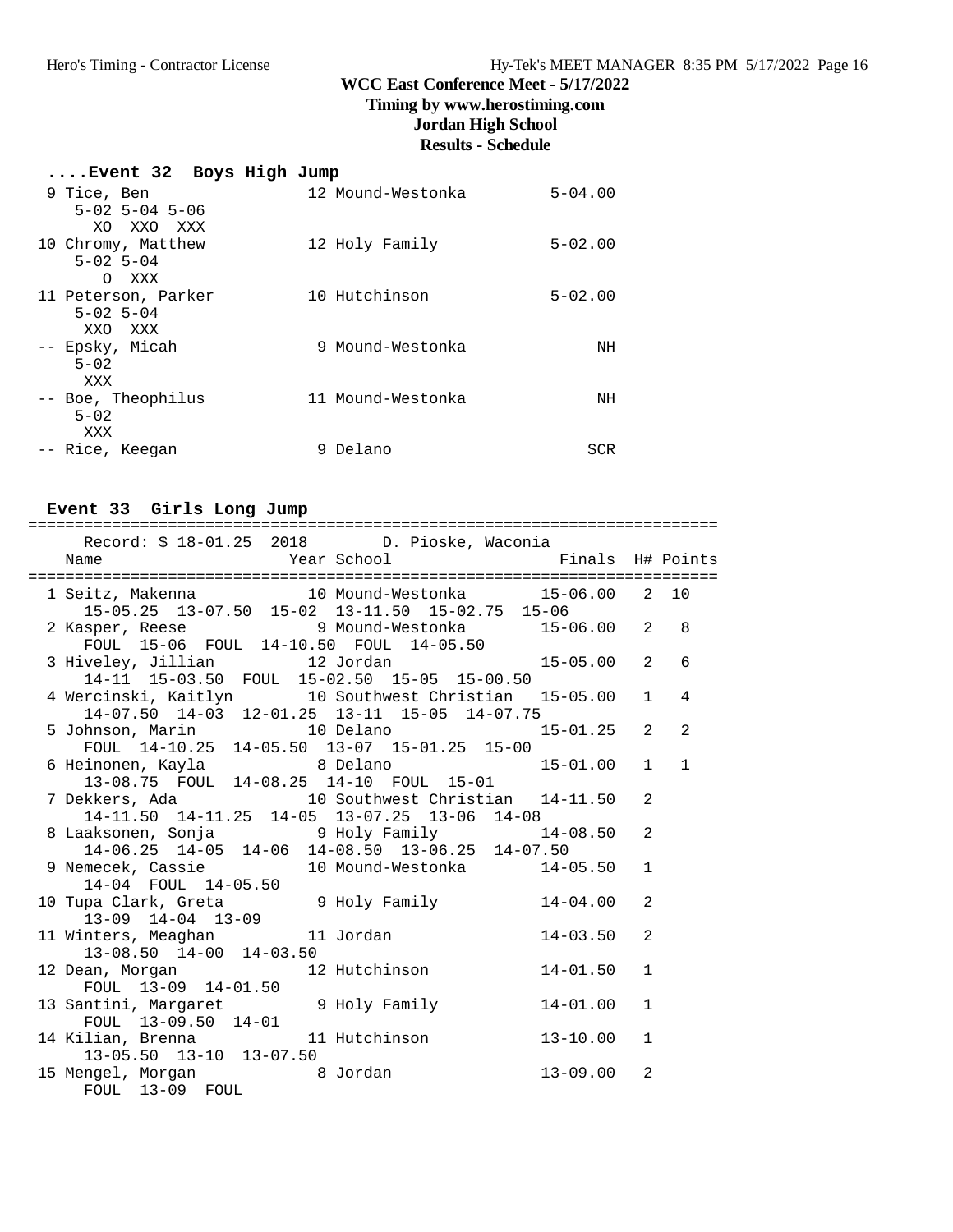## **Timing by www.herostiming.com**

**Jordan High School**

# **Results - Schedule**

| Event 32 Boys High Jump                  |                   |             |
|------------------------------------------|-------------------|-------------|
| 9 Tice, Ben                              | 12 Mound-Westonka | $5 - 04.00$ |
| $5 - 02$ $5 - 04$ $5 - 06$<br>XO XXO XXX |                   |             |
| 10 Chromy, Matthew                       | 12 Holy Family    | $5 - 02.00$ |
| $5 - 02$ $5 - 04$                        |                   |             |
| O XXX                                    |                   |             |
| 11 Peterson, Parker<br>$5 - 02$ 5 - 04   | 10 Hutchinson     | $5 - 02.00$ |
| XXO XXX                                  |                   |             |
| -- Epsky, Micah                          | 9 Mound-Westonka  | ΝH          |
| $5 - 0.2$                                |                   |             |
| XXX<br>-- Boe, Theophilus                | 11 Mound-Westonka | ΝH          |
| $5 - 02$                                 |                   |             |
| XXX                                      |                   |             |
| -- Rice, Keegan                          | Delano<br>9       | SCR         |

#### **Event 33 Girls Long Jump**

| Record: \$ 18-01.25 2018 D. Pioske, Waconia                                                                                                      |              |              |              |
|--------------------------------------------------------------------------------------------------------------------------------------------------|--------------|--------------|--------------|
| 1 Seitz, Makenna 10 Mound-Westonka 15-06.00 2 10                                                                                                 |              |              |              |
| 15-05.25 13-07.50 15-02 13-11.50 15-02.75 15-06<br>2 Kasper, Reese 9 Mound-Westonka 15-06.00 2 8<br>FOUL 15-06 FOUL 14-10.50 FOUL 14-05.50       |              |              |              |
| 3 Hiveley, Jillian 12 Jordan 15-05.00 2<br>14-11 15-03.50 FOUL 15-02.50 15-05 15-00.50                                                           |              |              | 6            |
| 4 Wercinski, Kaitlyn 10 Southwest Christian 15-05.00 1 4<br>14-07.50 14-03 12-01.25 13-11 15-05 14-07.75                                         |              |              |              |
| 5 Johnson, Marin 10 Delano 15-01.25 2<br>FOUL 14-10.25 14-05.50 13-07 15-01.25 15-00                                                             |              |              | 2            |
| 6 Heinonen, Kayla                  8 Delano                                   15-01.00    1<br>13-08.75   FOUL   14-08.25   14-10   FOUL   15-01 |              |              | $\mathbf{1}$ |
| 7 Dekkers, Ada (10 Southwest Christian 14-11.50)<br>14-11.50 14-11.25 14-05 13-07.25 13-06 14-08                                                 |              | 2            |              |
| 8 Laaksonen, Sonja<br>14-06.25 14-05 14-06 14-08.50 13-06.25 14-07.50<br>9 Nemecek, Cassie<br>10 Mound-Westonka 14-05.50                         |              | 2            |              |
| 14-04 FOUL 14-05.50<br>10 Tupa Clark, Greta 9 Holy Family 14-04.00                                                                               |              | $\mathbf{1}$ |              |
| $13-09$ $14-04$ $13-09$                                                                                                                          |              | 2            |              |
| 11 Winters, Meaghan 11 Jordan<br>13-08.50 14-00 14-03.50                                                                                         | $14 - 03.50$ | 2            |              |
| 12 Dean, Morgan 12 Hutchinson 14-01.50<br>FOUL 13-09 14-01.50<br>13 Santini, Margaret 9 Holy Family 14-01.00                                     |              | $\mathbf{1}$ |              |
| FOUL 13-09.50 14-01<br>14 Kilian, Brenna 11 Hutchinson 13-10.00                                                                                  |              | $\mathbf{1}$ |              |
| 13-05.50 13-10 13-07.50                                                                                                                          |              | $\mathbf{1}$ |              |
| 15 Mengel, Morgan 68 Jordan<br>FOUL 13-09 FOUL                                                                                                   | 13-09.00     | 2            |              |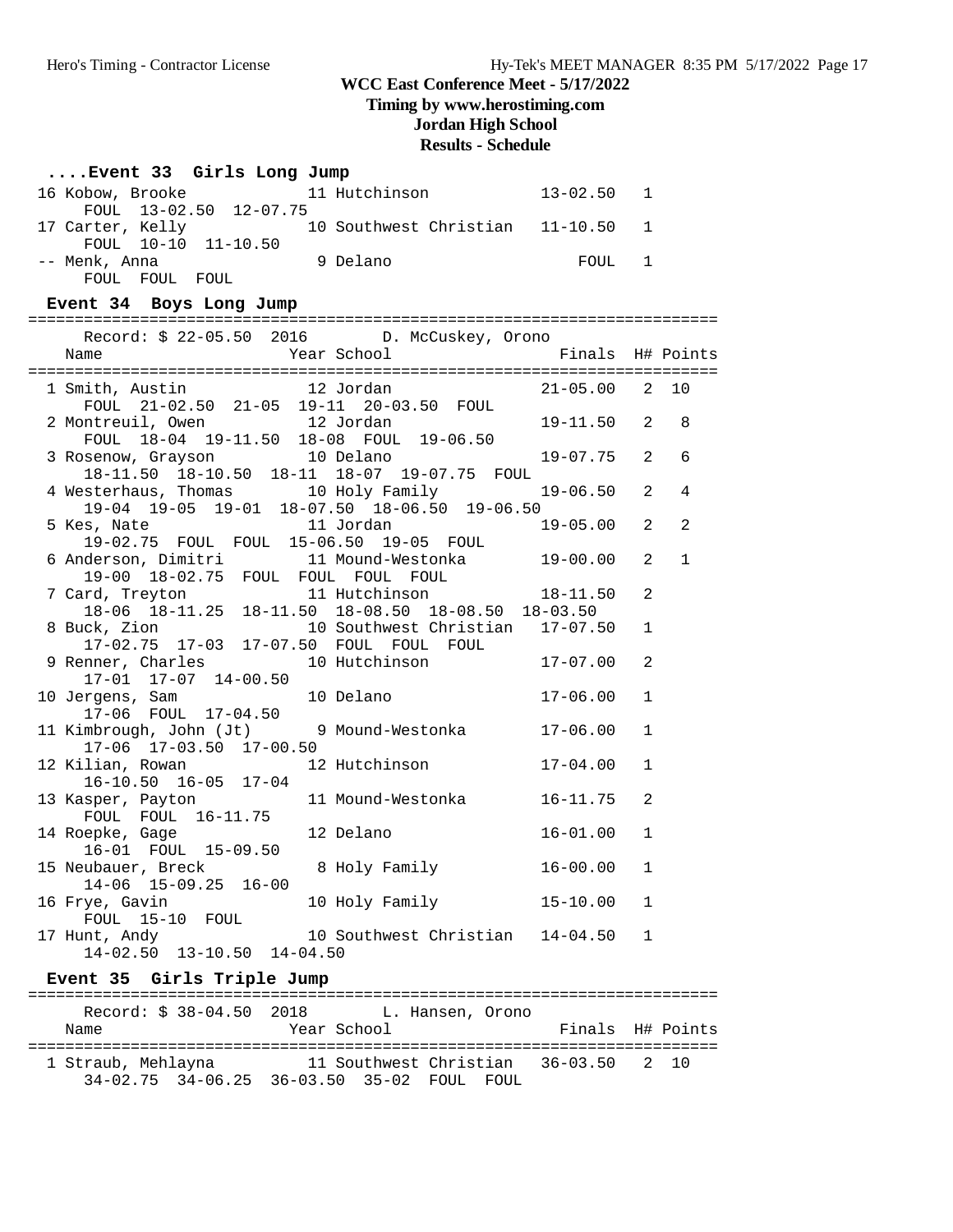## **Timing by www.herostiming.com**

## **Jordan High School**

#### **Results - Schedule**

#### **....Event 33 Girls Long Jump**

| 16 Kobow, Brooke |                        |  | 11 Hutchinson                     | 13-02.50 1 |  |
|------------------|------------------------|--|-----------------------------------|------------|--|
|                  | FOUL 13-02.50 12-07.75 |  |                                   |            |  |
| 17 Carter, Kelly |                        |  | 10 Southwest Christian 11-10.50 1 |            |  |
|                  | FOUL 10-10 11-10.50    |  |                                   |            |  |
| -- Menk, Anna    |                        |  | 9 Delano                          | FOUL 1     |  |
|                  | FOUL FOUL FOUL         |  |                                   |            |  |

#### **Event 34 Boys Long Jump**

| Record: \$ 22-05.50 2016 D. McCuskey, Orono<br>Year School <a> Finals<br/> H# Points<br/>Name</a> |                  |                |                |
|---------------------------------------------------------------------------------------------------|------------------|----------------|----------------|
|                                                                                                   |                  |                |                |
| 1 Smith, Austin 12 Jordan                                                                         | $21 - 05.00$ 2   |                | 10             |
| FOUL 21-02.50 21-05 19-11 20-03.50 FOUL                                                           |                  |                |                |
| 2 Montreuil, Owen 12 Jordan                                                                       | $19 - 11.50$ 2   |                | 8              |
| FOUL 18-04 19-11.50 18-08 FOUL 19-06.50                                                           |                  |                |                |
| 3 Rosenow, Grayson 10 Delano                                                                      | $19 - 07.75$ 2   |                | - 6            |
| 18-11.50 18-10.50 18-11 18-07 19-07.75 FOUL                                                       | $19 - 06.50$ 2   |                | $\overline{4}$ |
| 4 Westerhaus, Thomas 10 Holy Family<br>19-04 19-05 19-01 18-07.50 18-06.50 19-06.50               |                  |                |                |
| 5 Kes, Nate<br>11 Jordan                                                                          | 19-05.00         | $\overline{a}$ | $\overline{2}$ |
| 19-02.75 FOUL FOUL 15-06.50 19-05 FOUL                                                            |                  |                |                |
| 6 Anderson, Dimitri 11 Mound-Westonka 19-00.00                                                    |                  | 2              | $\mathbf{1}$   |
| 19-00 18-02.75 FOUL FOUL FOUL FOUL                                                                |                  |                |                |
| 7 Card, Treyton 11 Hutchinson 18-06 18-11.25 18-11.50 18-08.50 18-08.50 18-03.50                  | $18 - 11.50$     | 2              |                |
|                                                                                                   |                  |                |                |
| 8 Buck, Zion 10 Southwest Christian 17-07.50                                                      |                  | $\mathbf{1}$   |                |
|                                                                                                   |                  |                |                |
| 9 Renner, Charles                                                                                 |                  | 2              |                |
| 17-01 17-07 14-00.50                                                                              |                  |                |                |
| 10 Jergens, Sam<br>10 Delano<br>17-06 FOUL 17-04.50                                               | $17 - 06.00$     | $\mathbf{1}$   |                |
| 11 Kimbrough, John (Jt) 9 Mound-Westonka 17-06.00                                                 |                  | $\mathbf{1}$   |                |
| 17-06 17-03.50 17-00.50                                                                           |                  |                |                |
| 12 Hutchinson<br>12 Kilian, Rowan                                                                 | $17 - 04.00$     | $\mathbf{1}$   |                |
| 16-10.50 16-05 17-04                                                                              |                  |                |                |
| 11 Mound-Westonka<br>13 Kasper, Payton                                                            | $16 - 11.75$     | 2              |                |
| FOUL FOUL 16-11.75                                                                                |                  |                |                |
| 12 Delano<br>14 Roepke, Gage                                                                      | $16 - 01.00$     | $\mathbf{1}$   |                |
| 16-01 FOUL 15-09.50                                                                               |                  |                |                |
| 8 Holy Family<br>15 Neubauer, Breck                                                               | 16-00.00         | $\mathbf{1}$   |                |
| 14-06 15-09.25 16-00                                                                              |                  |                |                |
| 16 Frye, Gavin<br>10 Holy Family                                                                  | 15-10.00         | $\mathbf{1}$   |                |
| FOUL 15-10 FOUL<br>17 Hunt, Andy<br>10 Southwest Christian 14-04.50 1                             |                  |                |                |
| $14-02.50$ $13-10.50$ $14-04.50$                                                                  |                  |                |                |
|                                                                                                   |                  |                |                |
| Event 35 Girls Triple Jump                                                                        |                  |                |                |
| Record: \$ 38-04.50 2018 L. Hansen, Orono                                                         |                  |                |                |
| Year School<br>Name                                                                               | Finals H# Points |                |                |
|                                                                                                   |                  |                |                |
| 1 Straub, Mehlayna 11 Southwest Christian 36-03.50 2 10                                           |                  |                |                |
| 34-02.75 34-06.25 36-03.50 35-02 FOUL FOUL                                                        |                  |                |                |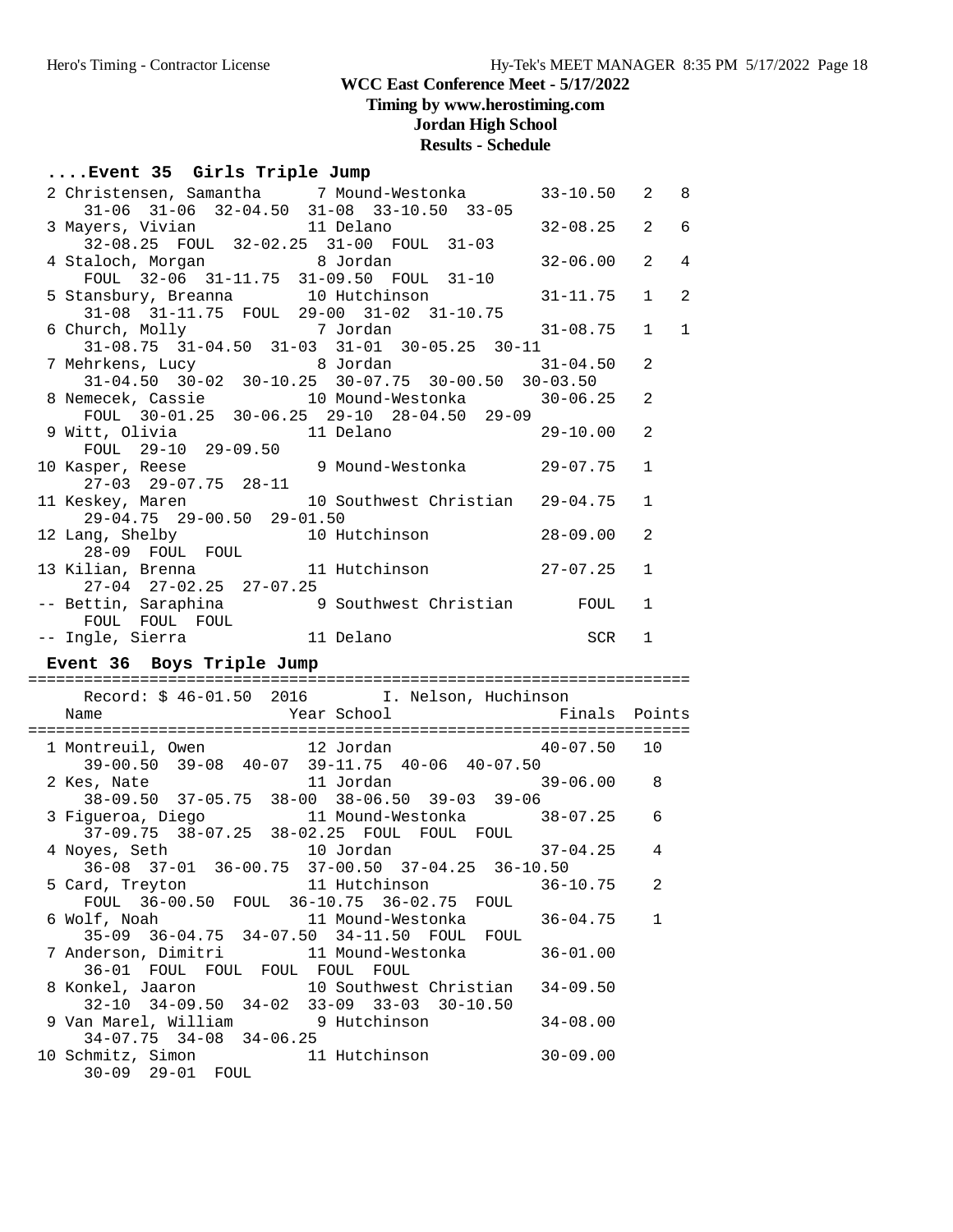**Timing by www.herostiming.com**

## **Jordan High School**

# **Results - Schedule**

#### **....Event 35 Girls Triple Jump**

| 2 Christensen, Samantha 17 Mound-Westonka<br>31-06 31-06 32-04.50 31-08 33-10.50 33-05                                                | $33 - 10.50$ | 2<br>8                           |
|---------------------------------------------------------------------------------------------------------------------------------------|--------------|----------------------------------|
| 3 Mayers, Vivian 11 Delano                                                                                                            | $32 - 08.25$ | 2<br>6                           |
| 32-08.25 FOUL 32-02.25 31-00 FOUL 31-03                                                                                               | $32 - 06.00$ | $\overline{2}$<br>$\overline{4}$ |
| 4 Staloch, Morgan 8 Jordan<br>FOUL 32-06 31-11.75 31-09.50 FOUL 31-10                                                                 |              |                                  |
| 5 Stansbury, Breanna 10 Hutchinson<br>$31-08$ $31-11.75$ FOUL 29-00 31-02 31-10.75                                                    | $31 - 11.75$ | 2<br>$\mathbf{1}$                |
| 6 Church, Molly 7 Jordan<br>$31-08.75 \quad 31-04.50 \quad 31-03 \quad 31-01 \quad 30-05.25 \quad 30-11$                              | $31 - 08.75$ | $\mathbf{1}$<br>$\mathbf{1}$     |
| 7 Mehrkens, Lucy 8 Jordan 31-04.<br>31-04.50 30-02 30-10.25 30-07.75 30-00.50 30-03.50                                                | $31 - 04.50$ | 2                                |
| 8 Nemecek, Cassie 10 Mound-Westonka 30-06.25                                                                                          |              | 2                                |
| FOUL 30-01.25 30-06.25 29-10 28-04.50 29-09<br>9 Witt, Olivia 11 Delano                                                               | $29 - 10.00$ | 2                                |
| 10 Kasper, Reese 9 Mound-Westonka 29-07.75<br>27-03 29-07.75 28-11<br>11 Kerk                                                         |              | $\mathbf{1}$                     |
| 11 Keskey, Maren 10 Southwest Christian 29-04.75                                                                                      |              | $\mathbf{1}$                     |
| $29-04.75$ 29-00.50 29-01.50<br>12 Lang, Shelby 10 Hutchinson 28-09.00                                                                |              | 2                                |
| 28-09 FOUL FOUL<br>13 Kilian, Brenna 11 Hutchinson 27-07.25                                                                           |              | $\mathbf{1}$                     |
| 27-04 27-02.25 27-07.25<br>-- Bettin, Saraphina (2001) 9 Southwest Christian (2008) FOUL                                              |              | $\mathbf{1}$                     |
|                                                                                                                                       |              |                                  |
| FOUL FOUL FOUL<br><b>SCR</b>                                                                                                          |              | $\mathbf{1}$                     |
| -- Ingle, Sierra 11 Delano<br>Event 36 Boys Triple Jump                                                                               |              |                                  |
|                                                                                                                                       |              |                                  |
| Record: \$46-01.50 2016 I. Nelson, Huchinson                                                                                          |              |                                  |
|                                                                                                                                       |              |                                  |
| 1 Montreuil, Owen 12 Jordan 40-07.50 10<br>39-00.50 39-08 40-07 39-11.75 40-06 40-07.50<br>2 Kes, Nate 11 Jordan 39-06.00 8           |              |                                  |
| 38-09.50 37-05.75 38-00 38-06.50 39-03 39-06                                                                                          |              | 6                                |
| 3 Figueroa, Diego 11 Mound-Westonka 38-07.25<br>37-09.75 38-07.25 38-02.25 FOUL FOUL FOUL<br>4 Noyes, Seth                            | $37 - 04.25$ | $\overline{4}$                   |
| yes, Seth 10 Jordan 10 37-04.25 36-10.50<br>36-08 37-01 36-00.75 37-00.50 37-04.25 36-10.50<br>5 Card, Treyton 11 Hutchinson 36-10.75 |              | $\overline{a}$                   |
| FOUL 36-00.50 FOUL 36-10.75 36-02.75 FOUL<br>6 Wolf, Noah<br>11 Mound-Westonka                                                        | $36 - 04.75$ | $\mathbf 1$                      |
| 35-09 36-04.75 34-07.50 34-11.50 FOUL FOUL<br>7 Anderson, Dimitri<br>11 Mound-Westonka                                                | $36 - 01.00$ |                                  |
| 36-01 FOUL FOUL FOUL FOUL FOUL<br>8 Konkel, Jaaron<br>10 Southwest Christian                                                          | $34 - 09.50$ |                                  |
| 32-10 34-09.50 34-02 33-09 33-03 30-10.50<br>9 Van Marel, William 9 Hutchinson<br>$34-07.75$ $34-08$ $34-06.25$                       | $34 - 08.00$ |                                  |

30-09 29-01 FOUL